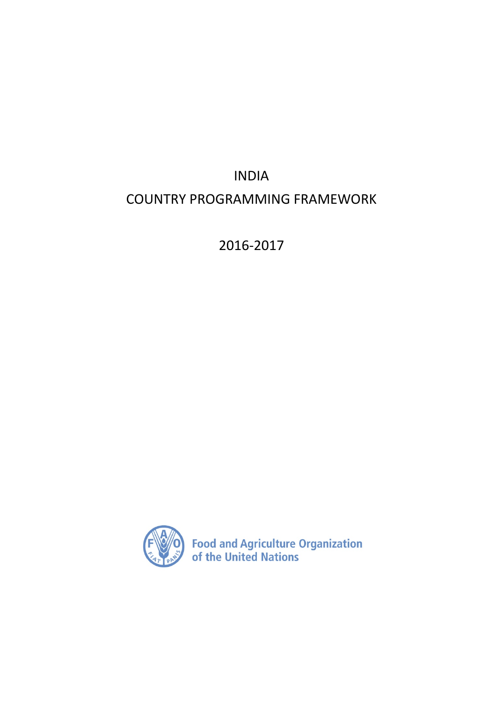INDIA COUNTRY PROGRAMMING FRAMEWORK

2016-2017

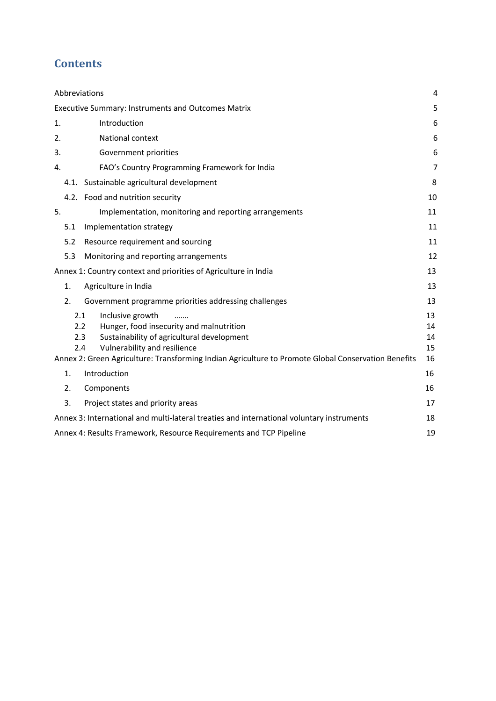# **Contents**

|     | Abbreviations                                                                                                                                                                                                                                                                 |                            |  |  |
|-----|-------------------------------------------------------------------------------------------------------------------------------------------------------------------------------------------------------------------------------------------------------------------------------|----------------------------|--|--|
|     | <b>Executive Summary: Instruments and Outcomes Matrix</b>                                                                                                                                                                                                                     | 5                          |  |  |
| 1.  | Introduction                                                                                                                                                                                                                                                                  | 6                          |  |  |
| 2.  | National context                                                                                                                                                                                                                                                              | 6                          |  |  |
| 3.  | Government priorities                                                                                                                                                                                                                                                         | 6                          |  |  |
| 4.  | FAO's Country Programming Framework for India                                                                                                                                                                                                                                 | $\overline{7}$             |  |  |
|     | 4.1. Sustainable agricultural development                                                                                                                                                                                                                                     | 8                          |  |  |
|     | 4.2. Food and nutrition security                                                                                                                                                                                                                                              | 10                         |  |  |
| 5.  | Implementation, monitoring and reporting arrangements                                                                                                                                                                                                                         | 11                         |  |  |
| 5.1 | Implementation strategy                                                                                                                                                                                                                                                       | 11                         |  |  |
| 5.2 | Resource requirement and sourcing                                                                                                                                                                                                                                             | 11                         |  |  |
| 5.3 | Monitoring and reporting arrangements                                                                                                                                                                                                                                         | 12                         |  |  |
|     | Annex 1: Country context and priorities of Agriculture in India                                                                                                                                                                                                               | 13                         |  |  |
| 1.  | Agriculture in India                                                                                                                                                                                                                                                          | 13                         |  |  |
| 2.  | Government programme priorities addressing challenges                                                                                                                                                                                                                         | 13                         |  |  |
|     | 2.1<br>Inclusive growth<br>2.2<br>Hunger, food insecurity and malnutrition<br>Sustainability of agricultural development<br>2.3<br>Vulnerability and resilience<br>2.4<br>Annex 2: Green Agriculture: Transforming Indian Agriculture to Promote Global Conservation Benefits | 13<br>14<br>14<br>15<br>16 |  |  |
| 1.  | Introduction                                                                                                                                                                                                                                                                  | 16                         |  |  |
| 2.  | Components                                                                                                                                                                                                                                                                    | 16                         |  |  |
| 3.  | Project states and priority areas                                                                                                                                                                                                                                             | 17                         |  |  |
|     | Annex 3: International and multi-lateral treaties and international voluntary instruments                                                                                                                                                                                     | 18                         |  |  |
|     | Annex 4: Results Framework, Resource Requirements and TCP Pipeline                                                                                                                                                                                                            | 19                         |  |  |
|     |                                                                                                                                                                                                                                                                               |                            |  |  |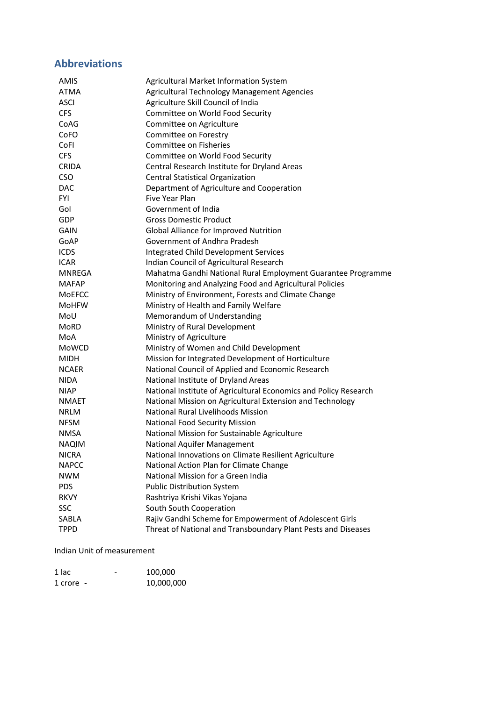## **Abbreviations**

| AMIS          | Agricultural Market Information System                           |
|---------------|------------------------------------------------------------------|
| <b>ATMA</b>   | Agricultural Technology Management Agencies                      |
| <b>ASCI</b>   | Agriculture Skill Council of India                               |
| <b>CFS</b>    | Committee on World Food Security                                 |
| CoAG          | Committee on Agriculture                                         |
| CoFO          | Committee on Forestry                                            |
| CoFI          | Committee on Fisheries                                           |
| <b>CFS</b>    | Committee on World Food Security                                 |
| <b>CRIDA</b>  | Central Research Institute for Dryland Areas                     |
| <b>CSO</b>    | <b>Central Statistical Organization</b>                          |
| <b>DAC</b>    | Department of Agriculture and Cooperation                        |
| <b>FYI</b>    | Five Year Plan                                                   |
| Gol           | Government of India                                              |
| GDP           | <b>Gross Domestic Product</b>                                    |
| <b>GAIN</b>   | <b>Global Alliance for Improved Nutrition</b>                    |
| GoAP          | Government of Andhra Pradesh                                     |
| <b>ICDS</b>   | Integrated Child Development Services                            |
| <b>ICAR</b>   | Indian Council of Agricultural Research                          |
| <b>MNREGA</b> | Mahatma Gandhi National Rural Employment Guarantee Programme     |
| <b>MAFAP</b>  | Monitoring and Analyzing Food and Agricultural Policies          |
| <b>MOEFCC</b> | Ministry of Environment, Forests and Climate Change              |
| <b>MoHFW</b>  | Ministry of Health and Family Welfare                            |
| MoU           | Memorandum of Understanding                                      |
| <b>MoRD</b>   | Ministry of Rural Development                                    |
| MoA           | Ministry of Agriculture                                          |
| MoWCD         | Ministry of Women and Child Development                          |
| <b>MIDH</b>   | Mission for Integrated Development of Horticulture               |
| <b>NCAER</b>  | National Council of Applied and Economic Research                |
| <b>NIDA</b>   | National Institute of Dryland Areas                              |
| <b>NIAP</b>   | National Institute of Agricultural Economics and Policy Research |
| <b>NMAET</b>  | National Mission on Agricultural Extension and Technology        |
| <b>NRLM</b>   | <b>National Rural Livelihoods Mission</b>                        |
| <b>NFSM</b>   | National Food Security Mission                                   |
| NMSA          | National Mission for Sustainable Agriculture                     |
| <b>NAQIM</b>  | National Aquifer Management                                      |
| <b>NICRA</b>  | National Innovations on Climate Resilient Agriculture            |
| <b>NAPCC</b>  | National Action Plan for Climate Change                          |
| <b>NWM</b>    | National Mission for a Green India                               |
| <b>PDS</b>    | <b>Public Distribution System</b>                                |
| <b>RKVY</b>   | Rashtriya Krishi Vikas Yojana                                    |
| <b>SSC</b>    | South South Cooperation                                          |
| SABLA         | Rajiv Gandhi Scheme for Empowerment of Adolescent Girls          |
| <b>TPPD</b>   | Threat of National and Transboundary Plant Pests and Diseases    |

Indian Unit of measurement

1 lac - 100,000 1 crore - 10,000,000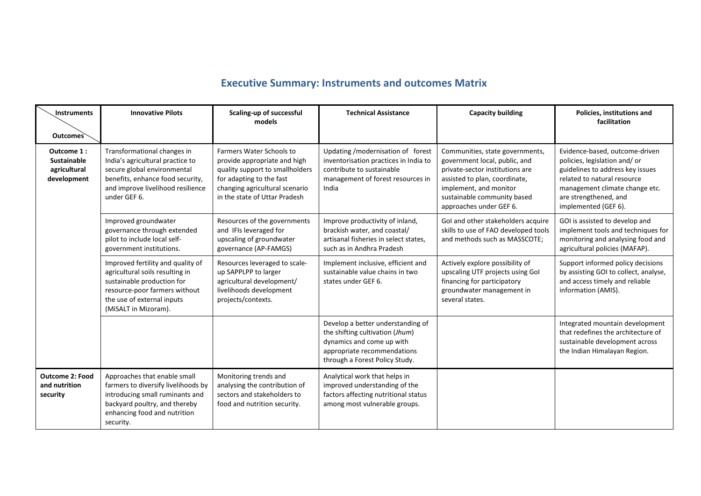# **Executive Summary: Instruments and outcomes Matrix**

| <b>Instruments</b><br>Outcomes                                  | <b>Innovative Pilots</b>                                                                                                                                                                  | Scaling-up of successful<br>models                                                                                                                                                         | <b>Technical Assistance</b>                                                                                                                                        | <b>Capacity building</b>                                                                                                                                                                                                 | Policies, institutions and<br>facilitation                                                                                                                                                                           |
|-----------------------------------------------------------------|-------------------------------------------------------------------------------------------------------------------------------------------------------------------------------------------|--------------------------------------------------------------------------------------------------------------------------------------------------------------------------------------------|--------------------------------------------------------------------------------------------------------------------------------------------------------------------|--------------------------------------------------------------------------------------------------------------------------------------------------------------------------------------------------------------------------|----------------------------------------------------------------------------------------------------------------------------------------------------------------------------------------------------------------------|
| Outcome 1:<br><b>Sustainable</b><br>agricultural<br>development | Transformational changes in<br>India's agricultural practice to<br>secure global environmental<br>benefits, enhance food security,<br>and improve livelihood resilience<br>under GEF 6.   | Farmers Water Schools to<br>provide appropriate and high<br>quality support to smallholders<br>for adapting to the fast<br>changing agricultural scenario<br>in the state of Uttar Pradesh | Updating / modernisation of forest<br>inventorisation practices in India to<br>contribute to sustainable<br>management of forest resources in<br>India             | Communities, state governments,<br>government local, public, and<br>private-sector institutions are<br>assisted to plan, coordinate,<br>implement, and monitor<br>sustainable community based<br>approaches under GEF 6. | Evidence-based, outcome-driven<br>policies, legislation and/or<br>guidelines to address key issues<br>related to natural resource<br>management climate change etc.<br>are strengthened, and<br>implemented (GEF 6). |
|                                                                 | Improved groundwater<br>governance through extended<br>pilot to include local self-<br>government institutions.                                                                           | Resources of the governments<br>and IFIs leveraged for<br>upscaling of groundwater<br>governance (AP-FAMGS)                                                                                | Improve productivity of inland,<br>brackish water, and coastal/<br>artisanal fisheries in select states,<br>such as in Andhra Pradesh                              | GoI and other stakeholders acquire<br>skills to use of FAO developed tools<br>and methods such as MASSCOTE;                                                                                                              | GOI is assisted to develop and<br>implement tools and techniques for<br>monitoring and analysing food and<br>agricultural policies (MAFAP).                                                                          |
|                                                                 | Improved fertility and quality of<br>agricultural soils resulting in<br>sustainable production for<br>resource-poor farmers without<br>the use of external inputs<br>(MiSALT in Mizoram). | Resources leveraged to scale-<br>up SAPPLPP to larger<br>agricultural development/<br>livelihoods development<br>projects/contexts.                                                        | Implement inclusive, efficient and<br>sustainable value chains in two<br>states under GEF 6.                                                                       | Actively explore possibility of<br>upscaling UTF projects using Gol<br>financing for participatory<br>groundwater management in<br>several states.                                                                       | Support informed policy decisions<br>by assisting GOI to collect, analyse,<br>and access timely and reliable<br>information (AMIS).                                                                                  |
|                                                                 |                                                                                                                                                                                           |                                                                                                                                                                                            | Develop a better understanding of<br>the shifting cultivation (Jhum)<br>dynamics and come up with<br>appropriate recommendations<br>through a Forest Policy Study. |                                                                                                                                                                                                                          | Integrated mountain development<br>that redefines the architecture of<br>sustainable development across<br>the Indian Himalayan Region.                                                                              |
| <b>Outcome 2: Food</b><br>and nutrition<br>security             | Approaches that enable small<br>farmers to diversify livelihoods by<br>introducing small ruminants and<br>backyard poultry, and thereby<br>enhancing food and nutrition<br>security.      | Monitoring trends and<br>analysing the contribution of<br>sectors and stakeholders to<br>food and nutrition security.                                                                      | Analytical work that helps in<br>improved understanding of the<br>factors affecting nutritional status<br>among most vulnerable groups.                            |                                                                                                                                                                                                                          |                                                                                                                                                                                                                      |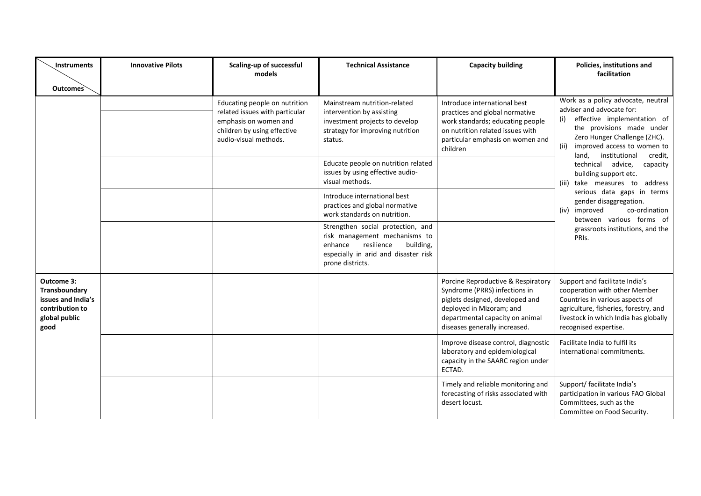| <b>Instruments</b>                                                                            | <b>Innovative Pilots</b> | Scaling-up of successful<br>models                                                                                                               | <b>Technical Assistance</b>                                                                                                                                          | <b>Capacity building</b>                                                                                                                                                                               | Policies, institutions and<br>facilitation                                                                                                                                                                    |
|-----------------------------------------------------------------------------------------------|--------------------------|--------------------------------------------------------------------------------------------------------------------------------------------------|----------------------------------------------------------------------------------------------------------------------------------------------------------------------|--------------------------------------------------------------------------------------------------------------------------------------------------------------------------------------------------------|---------------------------------------------------------------------------------------------------------------------------------------------------------------------------------------------------------------|
| <b>Outcomes</b>                                                                               |                          | Educating people on nutrition<br>related issues with particular<br>emphasis on women and<br>children by using effective<br>audio-visual methods. | Mainstream nutrition-related<br>intervention by assisting<br>investment projects to develop<br>strategy for improving nutrition<br>status.                           | Introduce international best<br>practices and global normative<br>work standards; educating people<br>on nutrition related issues with<br>particular emphasis on women and<br>children                 | Work as a policy advocate, neutral<br>adviser and advocate for:<br>effective implementation of<br>(i)<br>the provisions made under<br>Zero Hunger Challenge (ZHC).<br>(ii) improved access to women to        |
|                                                                                               |                          |                                                                                                                                                  | Educate people on nutrition related<br>issues by using effective audio-<br>visual methods.                                                                           |                                                                                                                                                                                                        | land,<br>institutional<br>credit,<br>technical advice,<br>capacity<br>building support etc.<br>(iii) take measures to address                                                                                 |
|                                                                                               |                          |                                                                                                                                                  | Introduce international best<br>practices and global normative<br>work standards on nutrition.                                                                       |                                                                                                                                                                                                        | serious data gaps in terms<br>gender disaggregation.<br>(iv) improved<br>co-ordination<br>between various forms of                                                                                            |
|                                                                                               |                          |                                                                                                                                                  | Strengthen social protection, and<br>risk management mechanisms to<br>resilience<br>enhance<br>building,<br>especially in arid and disaster risk<br>prone districts. |                                                                                                                                                                                                        | grassroots institutions, and the<br>PRIs.                                                                                                                                                                     |
| Outcome 3:<br>Transboundary<br>issues and India's<br>contribution to<br>global public<br>good |                          |                                                                                                                                                  |                                                                                                                                                                      | Porcine Reproductive & Respiratory<br>Syndrome (PRRS) infections in<br>piglets designed, developed and<br>deployed in Mizoram; and<br>departmental capacity on animal<br>diseases generally increased. | Support and facilitate India's<br>cooperation with other Member<br>Countries in various aspects of<br>agriculture, fisheries, forestry, and<br>livestock in which India has globally<br>recognised expertise. |
|                                                                                               |                          |                                                                                                                                                  |                                                                                                                                                                      | Improve disease control, diagnostic<br>laboratory and epidemiological<br>capacity in the SAARC region under<br>ECTAD.                                                                                  | Facilitate India to fulfil its<br>international commitments.                                                                                                                                                  |
|                                                                                               |                          |                                                                                                                                                  |                                                                                                                                                                      | Timely and reliable monitoring and<br>forecasting of risks associated with<br>desert locust.                                                                                                           | Support/ facilitate India's<br>participation in various FAO Global<br>Committees, such as the<br>Committee on Food Security.                                                                                  |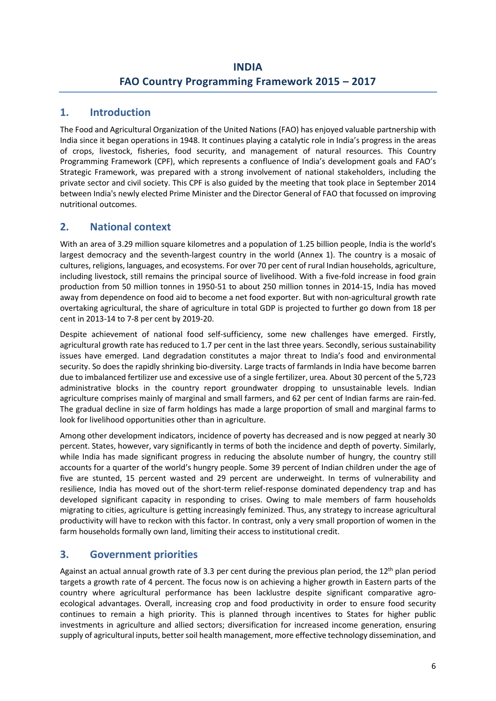## **INDIA FAO Country Programming Framework 2015 – 2017**

### <span id="page-5-0"></span>**1. Introduction**

The Food and Agricultural Organization of the United Nations (FAO) has enjoyed valuable partnership with India since it began operations in 1948. It continues playing a catalytic role in India's progress in the areas of crops, livestock, fisheries, food security, and management of natural resources. This Country Programming Framework (CPF), which represents a confluence of India's development goals and FAO's Strategic Framework, was prepared with a strong involvement of national stakeholders, including the private sector and civil society. This CPF is also guided by the meeting that took place in September 2014 between India's newly elected Prime Minister and the Director General of FAO that focussed on improving nutritional outcomes.

### <span id="page-5-1"></span>**2. National context**

With an area of 3.29 million square kilometres and a population of 1.25 billion people, India is the world's largest democracy and the seventh-largest country in the world (Annex 1). The country is a mosaic of cultures, religions, languages, and ecosystems. For over 70 per cent of rural Indian households, agriculture, including livestock, still remains the principal source of livelihood. With a five-fold increase in food grain production from 50 million tonnes in 1950-51 to about 250 million tonnes in 2014-15, India has moved away from dependence on food aid to become a net food exporter. But with non-agricultural growth rate overtaking agricultural, the share of agriculture in total GDP is projected to further go down from 18 per cent in 2013-14 to 7-8 per cent by 2019-20.

Despite achievement of national food self-sufficiency, some new challenges have emerged. Firstly, agricultural growth rate has reduced to 1.7 per cent in the last three years. Secondly, serious sustainability issues have emerged. Land degradation constitutes a major threat to India's food and environmental security. So does the rapidly shrinking bio-diversity. Large tracts of farmlands in India have become barren due to imbalanced fertilizer use and excessive use of a single fertilizer, urea. About 30 percent of the 5,723 administrative blocks in the country report groundwater dropping to unsustainable levels. Indian agriculture comprises mainly of marginal and small farmers, and 62 per cent of Indian farms are rain-fed. The gradual decline in size of farm holdings has made a large proportion of small and marginal farms to look for livelihood opportunities other than in agriculture.

Among other development indicators, incidence of poverty has decreased and is now pegged at nearly 30 percent. States, however, vary significantly in terms of both the incidence and depth of poverty. Similarly, while India has made significant progress in reducing the absolute number of hungry, the country still accounts for a quarter of the world's hungry people. Some 39 percent of Indian children under the age of five are stunted, 15 percent wasted and 29 percent are underweight. In terms of vulnerability and resilience, India has moved out of the short-term relief-response dominated dependency trap and has developed significant capacity in responding to crises. Owing to male members of farm households migrating to cities, agriculture is getting increasingly feminized. Thus, any strategy to increase agricultural productivity will have to reckon with this factor. In contrast, only a very small proportion of women in the farm households formally own land, limiting their access to institutional credit.

## <span id="page-5-2"></span>**3. Government priorities**

Against an actual annual growth rate of 3.3 per cent during the previous plan period, the 12<sup>th</sup> plan period targets a growth rate of 4 percent. The focus now is on achieving a higher growth in Eastern parts of the country where agricultural performance has been lacklustre despite significant comparative agroecological advantages. Overall, increasing crop and food productivity in order to ensure food security continues to remain a high priority. This is planned through incentives to States for higher public investments in agriculture and allied sectors; diversification for increased income generation, ensuring supply of agricultural inputs, better soil health management, more effective technology dissemination, and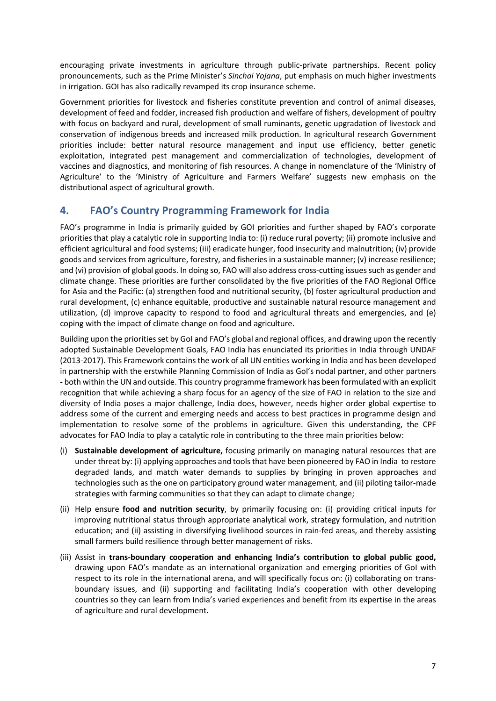encouraging private investments in agriculture through public-private partnerships. Recent policy pronouncements, such as the Prime Minister's *Sinchai Yojana*, put emphasis on much higher investments in irrigation. GOI has also radically revamped its crop insurance scheme.

Government priorities for livestock and fisheries constitute prevention and control of animal diseases, development of feed and fodder, increased fish production and welfare of fishers, development of poultry with focus on backyard and rural, development of small ruminants, genetic upgradation of livestock and conservation of indigenous breeds and increased milk production. In agricultural research Government priorities include: better natural resource management and input use efficiency, better genetic exploitation, integrated pest management and commercialization of technologies, development of vaccines and diagnostics, and monitoring of fish resources. A change in nomenclature of the 'Ministry of Agriculture' to the 'Ministry of Agriculture and Farmers Welfare' suggests new emphasis on the distributional aspect of agricultural growth.

### <span id="page-6-0"></span>**4. FAO's Country Programming Framework for India**

FAO's programme in India is primarily guided by GOI priorities and further shaped by FAO's corporate priorities that play a catalytic role in supporting India to: (i) reduce rural poverty; (ii) promote inclusive and efficient agricultural and food systems; (iii) eradicate hunger, food insecurity and malnutrition; (iv) provide goods and services from agriculture, forestry, and fisheries in a sustainable manner; (v) increase resilience; and (vi) provision of global goods. In doing so, FAO will also address cross-cutting issues such as gender and climate change. These priorities are further consolidated by the five priorities of the FAO Regional Office for Asia and the Pacific: (a) strengthen food and nutritional security, (b) foster agricultural production and rural development, (c) enhance equitable, productive and sustainable natural resource management and utilization, (d) improve capacity to respond to food and agricultural threats and emergencies, and (e) coping with the impact of climate change on food and agriculture.

Building upon the priorities set by GoI and FAO's global and regional offices, and drawing upon the recently adopted Sustainable Development Goals, FAO India has enunciated its priorities in India through UNDAF (2013-2017). This Framework contains the work of all UN entities working in India and has been developed in partnership with the erstwhile Planning Commission of India as GoI's nodal partner, and other partners - both within the UN and outside. This country programme framework has been formulated with an explicit recognition that while achieving a sharp focus for an agency of the size of FAO in relation to the size and diversity of India poses a major challenge, India does, however, needs higher order global expertise to address some of the current and emerging needs and access to best practices in programme design and implementation to resolve some of the problems in agriculture. Given this understanding, the CPF advocates for FAO India to play a catalytic role in contributing to the three main priorities below:

- (i) **Sustainable development of agriculture,** focusing primarily on managing natural resources that are under threat by: (i) applying approaches and tools that have been pioneered by FAO in India to restore degraded lands, and match water demands to supplies by bringing in proven approaches and technologies such as the one on participatory ground water management, and (ii) piloting tailor-made strategies with farming communities so that they can adapt to climate change;
- (ii) Help ensure **food and nutrition security**, by primarily focusing on: (i) providing critical inputs for improving nutritional status through appropriate analytical work, strategy formulation, and nutrition education; and (ii) assisting in diversifying livelihood sources in rain-fed areas, and thereby assisting small farmers build resilience through better management of risks.
- (iii) Assist in **trans-boundary cooperation and enhancing India's contribution to global public good,**  drawing upon FAO's mandate as an international organization and emerging priorities of GoI with respect to its role in the international arena, and will specifically focus on: (i) collaborating on transboundary issues, and (ii) supporting and facilitating India's cooperation with other developing countries so they can learn from India's varied experiences and benefit from its expertise in the areas of agriculture and rural development.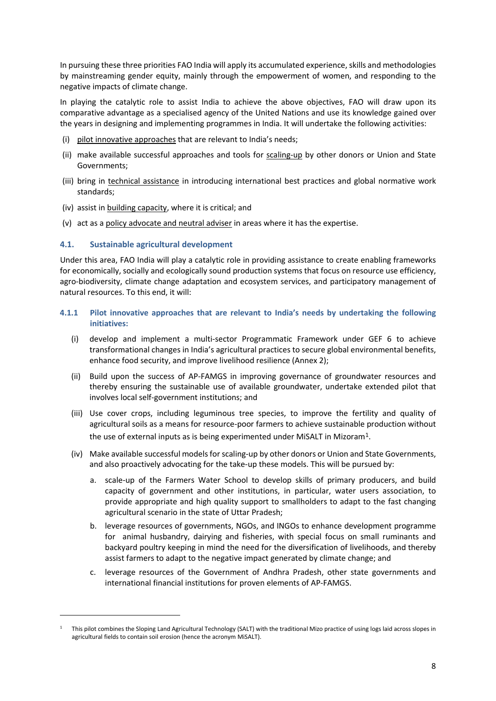In pursuing these three priorities FAO India will apply its accumulated experience, skills and methodologies by mainstreaming gender equity, mainly through the empowerment of women, and responding to the negative impacts of climate change.

In playing the catalytic role to assist India to achieve the above objectives, FAO will draw upon its comparative advantage as a specialised agency of the United Nations and use its knowledge gained over the years in designing and implementing programmes in India. It will undertake the following activities:

- (i) pilot innovative approaches that are relevant to India's needs;
- (ii) make available successful approaches and tools for scaling-up by other donors or Union and State Governments;
- (iii) bring in technical assistance in introducing international best practices and global normative work standards;
- (iv) assist in building capacity, where it is critical; and
- (v) act as a policy advocate and neutral adviser in areas where it has the expertise.

#### <span id="page-7-0"></span>**4.1. Sustainable agricultural development**

 $\overline{a}$ 

Under this area, FAO India will play a catalytic role in providing assistance to create enabling frameworks for economically, socially and ecologically sound production systems that focus on resource use efficiency, agro-biodiversity, climate change adaptation and ecosystem services, and participatory management of natural resources. To this end, it will:

#### **4.1.1 Pilot innovative approaches that are relevant to India's needs by undertaking the following initiatives:**

- (i) develop and implement a multi-sector Programmatic Framework under GEF 6 to achieve transformational changes in India's agricultural practices to secure global environmental benefits, enhance food security, and improve livelihood resilience (Annex 2);
- (ii) Build upon the success of AP-FAMGS in improving governance of groundwater resources and thereby ensuring the sustainable use of available groundwater, undertake extended pilot that involves local self-government institutions; and
- (iii) Use cover crops, including leguminous tree species, to improve the fertility and quality of agricultural soils as a means for resource-poor farmers to achieve sustainable production without the use of external inputs as is being experimented under MiSALT in Mizoram<sup>[1](#page-7-1)</sup>.
- (iv) Make available successful models for scaling-up by other donors or Union and State Governments, and also proactively advocating for the take-up these models. This will be pursued by:
	- a. scale-up of the Farmers Water School to develop skills of primary producers, and build capacity of government and other institutions, in particular, water users association, to provide appropriate and high quality support to smallholders to adapt to the fast changing agricultural scenario in the state of Uttar Pradesh;
	- b. leverage resources of governments, NGOs, and INGOs to enhance development programme for animal husbandry, dairying and fisheries, with special focus on small ruminants and backyard poultry keeping in mind the need for the diversification of livelihoods, and thereby assist farmers to adapt to the negative impact generated by climate change; and
	- leverage resources of the Government of Andhra Pradesh, other state governments and international financial institutions for proven elements of AP-FAMGS.

<span id="page-7-1"></span><sup>1</sup> This pilot combines the Sloping Land Agricultural Technology (SALT) with the traditional Mizo practice of using logs laid across slopes in agricultural fields to contain soil erosion (hence the acronym MiSALT).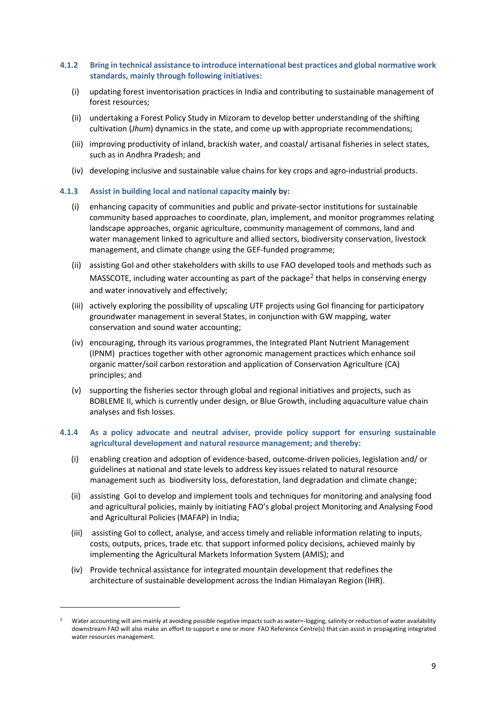#### **4.1.2 Bring in technical assistance to introduce international best practices and global normative work standards, mainly through following initiatives:**

- (i) updating forest inventorisation practices in India and contributing to sustainable management of forest resources;
- (ii) undertaking a Forest Policy Study in Mizoram to develop better understanding of the shifting cultivation (*Jhum*) dynamics in the state, and come up with appropriate recommendations;
- (iii) improving productivity of inland, brackish water, and coastal/ artisanal fisheries in select states, such as in Andhra Pradesh; and
- (iv) developing inclusive and sustainable value chains for key crops and agro-industrial products.

#### **4.1.3 Assist in building local and national capacity mainly by:**

- (i) enhancing capacity of communities and public and private-sector institutions for sustainable community based approaches to coordinate, plan, implement, and monitor programmes relating landscape approaches, organic agriculture, community management of commons, land and water management linked to agriculture and allied sectors, biodiversity conservation, livestock management, and climate change using the GEF-funded programme;
- (ii) assisting GoI and other stakeholders with skills to use FAO developed tools and methods such as MASSCOTE, including water accounting as part of the package<sup>[2](#page-8-0)</sup> that helps in conserving energy and water innovatively and effectively;
- (iii) actively exploring the possibility of upscaling UTF projects using GoI financing for participatory groundwater management in several States, in conjunction with GW mapping, water conservation and sound water accounting;
- (iv) encouraging, through its various programmes, the Integrated Plant Nutrient Management (IPNM) practices together with other agronomic management practices which enhance soil organic matter/soil carbon restoration and application of Conservation Agriculture (CA) principles; and
- (v) supporting the fisheries sector through global and regional initiatives and projects, such as BOBLEME II, which is currently under design, or Blue Growth, including aquaculture value chain analyses and fish losses.

#### **4.1.4 As a policy advocate and neutral adviser, provide policy support for ensuring sustainable agricultural development and natural resource management; and thereby:**

- (i) enabling creation and adoption of evidence-based, outcome-driven policies, legislation and/ or guidelines at national and state levels to address key issues related to natural resource management such as biodiversity loss, deforestation, land degradation and climate change;
- (ii) assisting GoI to develop and implement tools and techniques for monitoring and analysing food and agricultural policies, mainly by initiating FAO's global project Monitoring and Analysing Food and Agricultural Policies (MAFAP) in India;
- (iii) assisting GoI to collect, analyse, and access timely and reliable information relating to inputs, costs, outputs, prices, trade etc. that support informed policy decisions, achieved mainly by implementing the Agricultural Markets Information System (AMIS); and
- (iv) Provide technical assistance for integrated mountain development that redefines the architecture of sustainable development across the Indian Himalayan Region (IHR).

 $\overline{a}$ 

<span id="page-8-0"></span><sup>2</sup> Water accounting will aim mainly at avoiding possible negative impacts such as water=-logging, salinity or reduction of water availability downstream FAO will also make an effort to support e one or more FAO Reference Centre(s) that can assist in propagating integrated water resources management.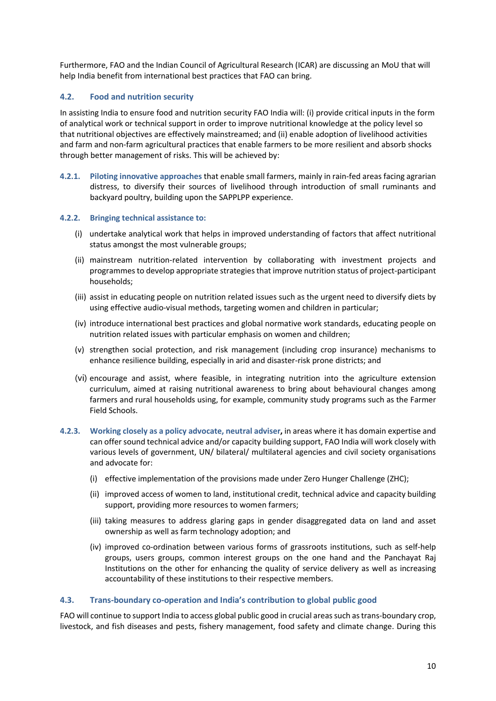Furthermore, FAO and the Indian Council of Agricultural Research (ICAR) are discussing an MoU that will help India benefit from international best practices that FAO can bring.

#### <span id="page-9-0"></span>**4.2. Food and nutrition security**

In assisting India to ensure food and nutrition security FAO India will: (i) provide critical inputs in the form of analytical work or technical support in order to improve nutritional knowledge at the policy level so that nutritional objectives are effectively mainstreamed; and (ii) enable adoption of livelihood activities and farm and non-farm agricultural practices that enable farmers to be more resilient and absorb shocks through better management of risks. This will be achieved by:

**4.2.1. Piloting innovative approaches** that enable small farmers, mainly in rain-fed areas facing agrarian distress, to diversify their sources of livelihood through introduction of small ruminants and backyard poultry, building upon the SAPPLPP experience.

#### **4.2.2. Bringing technical assistance to:**

- (i) undertake analytical work that helps in improved understanding of factors that affect nutritional status amongst the most vulnerable groups;
- (ii) mainstream nutrition-related intervention by collaborating with investment projects and programmes to develop appropriate strategiesthat improve nutrition status of project-participant households;
- (iii) assist in educating people on nutrition related issues such as the urgent need to diversify diets by using effective audio-visual methods, targeting women and children in particular;
- (iv) introduce international best practices and global normative work standards, educating people on nutrition related issues with particular emphasis on women and children;
- (v) strengthen social protection, and risk management (including crop insurance) mechanisms to enhance resilience building, especially in arid and disaster-risk prone districts; and
- (vi) encourage and assist, where feasible, in integrating nutrition into the agriculture extension curriculum, aimed at raising nutritional awareness to bring about behavioural changes among farmers and rural households using, for example, community study programs such as the Farmer Field Schools.
- **4.2.3. Working closely as a policy advocate, neutral adviser,** in areas where it has domain expertise and can offer sound technical advice and/or capacity building support, FAO India will work closely with various levels of government, UN/ bilateral/ multilateral agencies and civil society organisations and advocate for:
	- (i) effective implementation of the provisions made under Zero Hunger Challenge (ZHC);
	- (ii) improved access of women to land, institutional credit, technical advice and capacity building support, providing more resources to women farmers;
	- (iii) taking measures to address glaring gaps in gender disaggregated data on land and asset ownership as well as farm technology adoption; and
	- (iv) improved co-ordination between various forms of grassroots institutions, such as self-help groups, users groups, common interest groups on the one hand and the Panchayat Raj Institutions on the other for enhancing the quality of service delivery as well as increasing accountability of these institutions to their respective members.

#### **4.3. Trans-boundary co-operation and India's contribution to global public good**

FAO will continue to support India to access global public good in crucial areas such as trans-boundary crop, livestock, and fish diseases and pests, fishery management, food safety and climate change. During this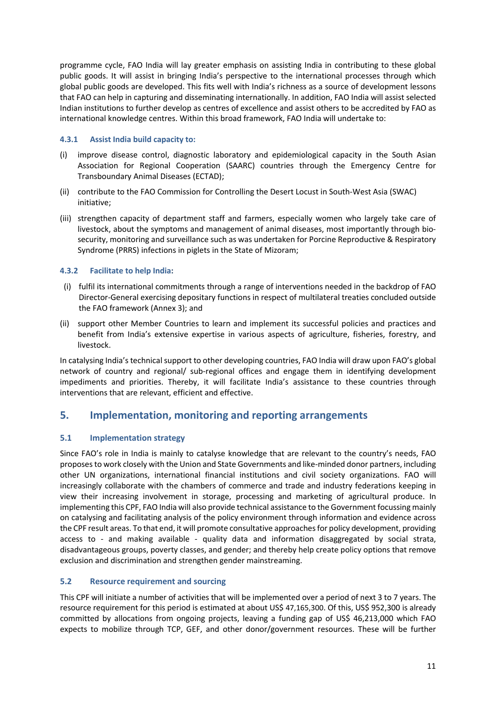programme cycle, FAO India will lay greater emphasis on assisting India in contributing to these global public goods. It will assist in bringing India's perspective to the international processes through which global public goods are developed. This fits well with India's richness as a source of development lessons that FAO can help in capturing and disseminating internationally. In addition, FAO India will assist selected Indian institutions to further develop as centres of excellence and assist others to be accredited by FAO as international knowledge centres. Within this broad framework, FAO India will undertake to:

#### **4.3.1 Assist India build capacity to:**

- (i) improve disease control, diagnostic laboratory and epidemiological capacity in the South Asian Association for Regional Cooperation (SAARC) countries through the Emergency Centre for Transboundary Animal Diseases (ECTAD);
- (ii) contribute to the FAO Commission for Controlling the Desert Locust in South-West Asia (SWAC) initiative;
- (iii) strengthen capacity of department staff and farmers, especially women who largely take care of livestock, about the symptoms and management of animal diseases, most importantly through biosecurity, monitoring and surveillance such as was undertaken for Porcine Reproductive & Respiratory Syndrome (PRRS) infections in piglets in the State of Mizoram;

#### **4.3.2 Facilitate to help India:**

- (i) fulfil its international commitments through a range of interventions needed in the backdrop of FAO Director-General exercising depositary functions in respect of multilateral treaties concluded outside the FAO framework (Annex 3); and
- (ii) support other Member Countries to learn and implement its successful policies and practices and benefit from India's extensive expertise in various aspects of agriculture, fisheries, forestry, and livestock.

In catalysing India's technical support to other developing countries, FAO India will draw upon FAO's global network of country and regional/ sub-regional offices and engage them in identifying development impediments and priorities. Thereby, it will facilitate India's assistance to these countries through interventions that are relevant, efficient and effective.

### <span id="page-10-0"></span>**5. Implementation, monitoring and reporting arrangements**

#### <span id="page-10-1"></span>**5.1 Implementation strategy**

Since FAO's role in India is mainly to catalyse knowledge that are relevant to the country's needs, FAO proposes to work closely with the Union and State Governments and like-minded donor partners, including other UN organizations, international financial institutions and civil society organizations. FAO will increasingly collaborate with the chambers of commerce and trade and industry federations keeping in view their increasing involvement in storage, processing and marketing of agricultural produce. In implementing this CPF, FAO India will also provide technical assistance to the Government focussing mainly on catalysing and facilitating analysis of the policy environment through information and evidence across the CPF result areas. To that end, it will promote consultative approaches for policy development, providing access to - and making available - quality data and information disaggregated by social strata, disadvantageous groups, poverty classes, and gender; and thereby help create policy options that remove exclusion and discrimination and strengthen gender mainstreaming.

#### <span id="page-10-2"></span>**5.2 Resource requirement and sourcing**

This CPF will initiate a number of activities that will be implemented over a period of next 3 to 7 years. The resource requirement for this period is estimated at about US\$ 47,165,300. Of this, US\$ 952,300 is already committed by allocations from ongoing projects, leaving a funding gap of US\$ 46,213,000 which FAO expects to mobilize through TCP, GEF, and other donor/government resources. These will be further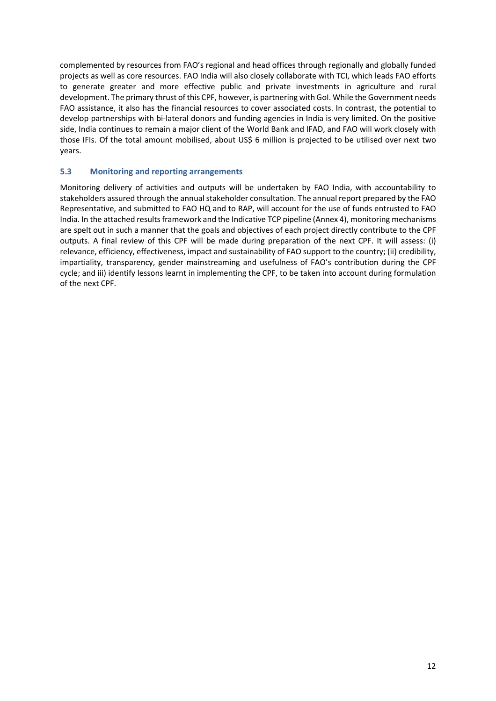complemented by resources from FAO's regional and head offices through regionally and globally funded projects as well as core resources. FAO India will also closely collaborate with TCI, which leads FAO efforts to generate greater and more effective public and private investments in agriculture and rural development. The primary thrust of this CPF, however, is partnering with GoI. While the Government needs FAO assistance, it also has the financial resources to cover associated costs. In contrast, the potential to develop partnerships with bi-lateral donors and funding agencies in India is very limited. On the positive side, India continues to remain a major client of the World Bank and IFAD, and FAO will work closely with those IFIs. Of the total amount mobilised, about US\$ 6 million is projected to be utilised over next two years.

#### <span id="page-11-0"></span>**5.3 Monitoring and reporting arrangements**

Monitoring delivery of activities and outputs will be undertaken by FAO India, with accountability to stakeholders assured through the annual stakeholder consultation. The annual report prepared by the FAO Representative, and submitted to FAO HQ and to RAP, will account for the use of funds entrusted to FAO India. In the attached results framework and the Indicative TCP pipeline (Annex 4), monitoring mechanisms are spelt out in such a manner that the goals and objectives of each project directly contribute to the CPF outputs. A final review of this CPF will be made during preparation of the next CPF. It will assess: (i) relevance, efficiency, effectiveness, impact and sustainability of FAO support to the country; (ii) credibility, impartiality, transparency, gender mainstreaming and usefulness of FAO's contribution during the CPF cycle; and iii) identify lessons learnt in implementing the CPF, to be taken into account during formulation of the next CPF.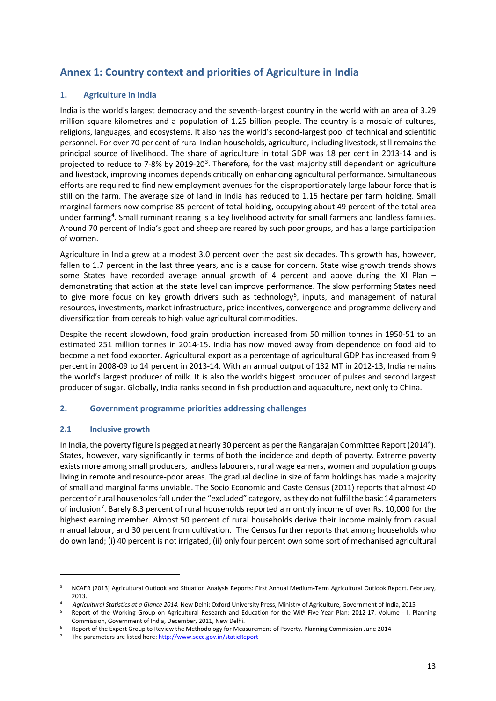## <span id="page-12-0"></span>**Annex 1: Country context and priorities of Agriculture in India**

#### <span id="page-12-1"></span>**1. Agriculture in India**

India is the world's largest democracy and the seventh-largest country in the world with an area of 3.29 million square kilometres and a population of 1.25 billion people. The country is a mosaic of cultures, religions, languages, and ecosystems. It also has the world's second-largest pool of technical and scientific personnel. For over 70 per cent of rural Indian households, agriculture, including livestock, still remains the principal source of livelihood. The share of agriculture in total GDP was 18 per cent in 2013-14 and is projected to reduce to 7-8% by 2019-20<sup>[3](#page-12-4)</sup>. Therefore, for the vast majority still dependent on agriculture and livestock, improving incomes depends critically on enhancing agricultural performance. Simultaneous efforts are required to find new employment avenues for the disproportionately large labour force that is still on the farm. The average size of land in India has reduced to 1.15 hectare per farm holding. Small marginal farmers now comprise 85 percent of total holding, occupying about 49 percent of the total area under farming<sup>[4](#page-12-5)</sup>. Small ruminant rearing is a key livelihood activity for small farmers and landless families. Around 70 percent of India's goat and sheep are reared by such poor groups, and has a large participation of women.

Agriculture in India grew at a modest 3.0 percent over the past six decades. This growth has, however, fallen to 1.7 percent in the last three years, and is a cause for concern. State wise growth trends shows some States have recorded average annual growth of 4 percent and above during the XI Plan – demonstrating that action at the state level can improve performance. The slow performing States need to give more focus on key growth drivers such as technology<sup>[5](#page-12-6)</sup>, inputs, and management of natural resources, investments, market infrastructure, price incentives, convergence and programme delivery and diversification from cereals to high value agricultural commodities.

Despite the recent slowdown, food grain production increased from 50 million tonnes in 1950-51 to an estimated 251 million tonnes in 2014-15. India has now moved away from dependence on food aid to become a net food exporter. Agricultural export as a percentage of agricultural GDP has increased from 9 percent in 2008-09 to 14 percent in 2013-14. With an annual output of 132 MT in 2012-13, India remains the world's largest producer of milk. It is also the world's biggest producer of pulses and second largest producer of sugar. Globally, India ranks second in fish production and aquaculture, next only to China.

#### <span id="page-12-2"></span>**2. Government programme priorities addressing challenges**

#### <span id="page-12-3"></span>**2.1 Inclusive growth**

 $\overline{a}$ 

In India, the poverty figure is pegged at nearly 30 percent as per the Rangarajan Committee Report (2014<sup>[6](#page-12-7)</sup>). States, however, vary significantly in terms of both the incidence and depth of poverty. Extreme poverty exists more among small producers, landless labourers, rural wage earners, women and population groups living in remote and resource-poor areas. The gradual decline in size of farm holdings has made a majority of small and marginal farms unviable. The Socio Economic and Caste Census (2011) reports that almost 40 percent of rural households fall under the "excluded" category, as they do not fulfil the basic 14 parameters of inclusion<sup>[7](#page-12-8)</sup>. Barely 8.3 percent of rural households reported a monthly income of over Rs. 10,000 for the highest earning member. Almost 50 percent of rural households derive their income mainly from casual manual labour, and 30 percent from cultivation. The Census further reports that among households who do own land; (i) 40 percent is not irrigated, (ii) only four percent own some sort of mechanised agricultural

<span id="page-12-4"></span><sup>&</sup>lt;sup>3</sup> NCAER (2013) Agricultural Outlook and Situation Analysis Reports: First Annual Medium-Term Agricultural Outlook Report. February, 2013.

<span id="page-12-5"></span><sup>4</sup> *Agricultural Statistics at a Glance 2014.* New Delhi: Oxford University Press, Ministry of Agriculture, Government of India, 2015

<span id="page-12-6"></span>Report of the Working Group on Agricultural Research and Education for the With Five Year Plan: 2012-17, Volume - I, Planning Commission, Government of India, December, 2011, New Delhi.

<sup>6</sup> Report of the Expert Group to Review the Methodology for Measurement of Poverty. Planning Commission June 2014

<span id="page-12-8"></span><span id="page-12-7"></span><sup>&</sup>lt;sup>7</sup> The parameters are listed here[: http://www.secc.gov.in/staticReport](http://www.secc.gov.in/staticReport)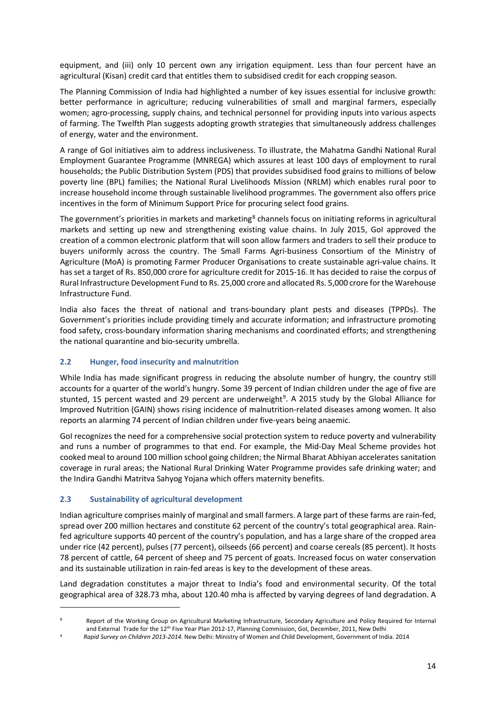equipment, and (iii) only 10 percent own any irrigation equipment. Less than four percent have an agricultural (Kisan) credit card that entitles them to subsidised credit for each cropping season.

The Planning Commission of India had highlighted a number of key issues essential for inclusive growth: better performance in agriculture; reducing vulnerabilities of small and marginal farmers, especially women; agro-processing, supply chains, and technical personnel for providing inputs into various aspects of farming. The Twelfth Plan suggests adopting growth strategies that simultaneously address challenges of energy, water and the environment.

A range of GoI initiatives aim to address inclusiveness. To illustrate, the Mahatma Gandhi National Rural Employment Guarantee Programme (MNREGA) which assures at least 100 days of employment to rural households; the Public Distribution System (PDS) that provides subsidised food grains to millions of below poverty line (BPL) families; the National Rural Livelihoods Mission (NRLM) which enables rural poor to increase household income through sustainable livelihood programmes. The government also offers price incentives in the form of Minimum Support Price for procuring select food grains.

The government's priorities in markets and marketing<sup>[8](#page-13-2)</sup> channels focus on initiating reforms in agricultural markets and setting up new and strengthening existing value chains. In July 2015, GoI approved the creation of a common electronic platform that will soon allow farmers and traders to sell their produce to buyers uniformly across the country. The Small Farms Agri-business Consortium of the Ministry of Agriculture (MoA) is promoting Farmer Producer Organisations to create sustainable agri-value chains. It has set a target of Rs. 850,000 crore for agriculture credit for 2015-16. It has decided to raise the corpus of Rural Infrastructure Development Fund to Rs. 25,000 crore and allocated Rs. 5,000 crore for the Warehouse Infrastructure Fund.

India also faces the threat of national and trans-boundary plant pests and diseases (TPPDs). The Government's priorities include providing timely and accurate information; and infrastructure promoting food safety, cross-boundary information sharing mechanisms and coordinated efforts; and strengthening the national quarantine and bio-security umbrella.

#### <span id="page-13-0"></span>**2.2 Hunger, food insecurity and malnutrition**

While India has made significant progress in reducing the absolute number of hungry, the country still accounts for a quarter of the world's hungry. Some 39 percent of Indian children under the age of five are stunted, 15 percent wasted and 29 percent are underweight<sup>9</sup>. A 2015 study by the Global Alliance for Improved Nutrition (GAIN) shows rising incidence of malnutrition-related diseases among women. It also reports an alarming 74 percent of Indian children under five-years being anaemic.

GoI recognizes the need for a comprehensive social protection system to reduce poverty and vulnerability and runs a number of programmes to that end. For example, the Mid-Day Meal Scheme provides hot cooked meal to around 100 million school going children; the Nirmal Bharat Abhiyan accelerates sanitation coverage in rural areas; the National Rural Drinking Water Programme provides safe drinking water; and the [Indira Gandhi Matritva Sahyog Yojana which offers maternity benefits.](http://wcd.nic.in/SchemeIgmsy/scheme_igmsy.htm) 

#### <span id="page-13-1"></span>**2.3 Sustainability of agricultural development**

 $\overline{a}$ 

Indian agriculture comprises mainly of marginal and small farmers. A large part of these farms are rain-fed, spread over 200 million hectares and constitute 62 percent of the country's total geographical area. Rainfed agriculture supports 40 percent of the country's population, and has a large share of the cropped area under rice (42 percent), pulses (77 percent), oilseeds (66 percent) and coarse cereals (85 percent). It hosts 78 percent of cattle, 64 percent of sheep and 75 percent of goats. Increased focus on water conservation and its sustainable utilization in rain-fed areas is key to the development of these areas.

Land degradation constitutes a major threat to India's food and environmental security. Of the total geographical area of 328.73 mha, about 120.40 mha is affected by varying degrees of land degradation. A

<span id="page-13-2"></span><sup>8</sup> Report of the Working Group on Agricultural Marketing Infrastructure, Secondary Agriculture and Policy Required for Internal and External Trade for the 12<sup>th</sup> Five Year Plan 2012-17, Planning Commission, GoI, December, 2011, New Delhi

<span id="page-13-3"></span><sup>9</sup> *Rapid Survey on Children 2013-2014.* New Delhi: Ministry of Women and Child Development, Government of India. 2014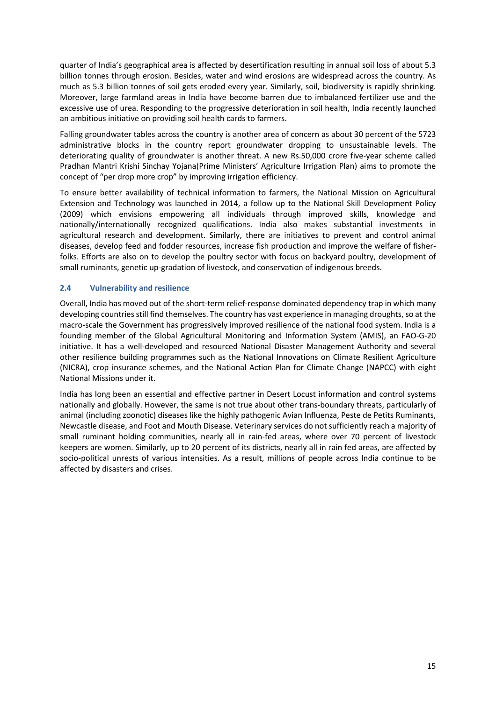quarter of India's geographical area is affected by desertification resulting in annual soil loss of about 5.3 billion tonnes through erosion. Besides, water and wind erosions are widespread across the country. As much as 5.3 billion tonnes of soil gets eroded every year. Similarly, soil, biodiversity is rapidly shrinking. Moreover, large farmland areas in India have become barren due to imbalanced fertilizer use and the excessive use of urea. Responding to the progressive deterioration in soil health, India recently launched an ambitious initiative on providing soil health cards to farmers.

Falling groundwater tables across the country is another area of concern as about 30 percent of the 5723 administrative blocks in the country report groundwater dropping to unsustainable levels. The deteriorating quality of groundwater is another threat. A new Rs.50,000 crore five-year scheme called Pradhan Mantri Krishi Sinchay Yojana(Prime Ministers' Agriculture Irrigation Plan) aims to promote the concept of "per drop more crop" by improving irrigation efficiency.

To ensure better availability of technical information to farmers, the National Mission on Agricultural Extension and Technology was launched in 2014, a follow up to the National Skill Development Policy (2009) which envisions empowering all individuals through improved skills, knowledge and nationally/internationally recognized qualifications. India also makes substantial investments in agricultural research and development. Similarly, there are initiatives to prevent and control animal diseases, develop feed and fodder resources, increase fish production and improve the welfare of fisherfolks. Efforts are also on to develop the poultry sector with focus on backyard poultry, development of small ruminants, genetic up-gradation of livestock, and conservation of indigenous breeds.

#### <span id="page-14-0"></span>**2.4 Vulnerability and resilience**

Overall, India has moved out of the short-term relief-response dominated dependency trap in which many developing countries still find themselves. The country has vast experience in managing droughts, so at the macro-scale the Government has progressively improved resilience of the national food system. India is a founding member of the Global Agricultural Monitoring and Information System (AMIS), an FAO-G-20 initiative. It has a well-developed and resourced National Disaster Management Authority and several other resilience building programmes such as the National Innovations on Climate Resilient Agriculture (NICRA), crop insurance schemes, and the National Action Plan for Climate Change (NAPCC) with eight National Missions under it.

India has long been an essential and effective partner in Desert Locust information and control systems nationally and globally. However, the same is not true about other trans-boundary threats, particularly of animal (including zoonotic) diseases like the highly pathogenic Avian Influenza, Peste de Petits Ruminants, Newcastle disease, and Foot and Mouth Disease. Veterinary services do not sufficiently reach a majority of small ruminant holding communities, nearly all in rain-fed areas, where over 70 percent of livestock keepers are women. Similarly, up to 20 percent of its districts, nearly all in rain fed areas, are affected by socio-political unrests of various intensities. As a result, millions of people across India continue to be affected by disasters and crises.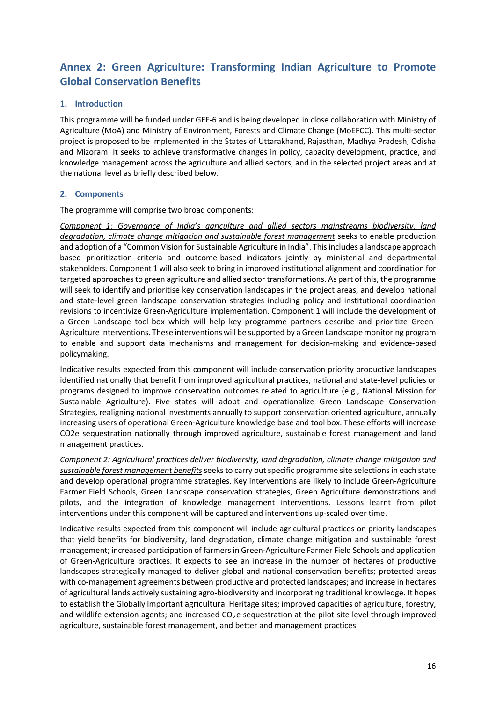## <span id="page-15-0"></span>**Annex 2: Green Agriculture: Transforming Indian Agriculture to Promote Global Conservation Benefits**

#### <span id="page-15-1"></span>**1. Introduction**

This programme will be funded under GEF-6 and is being developed in close collaboration with Ministry of Agriculture (MoA) and Ministry of Environment, Forests and Climate Change (MoEFCC). This multi-sector project is proposed to be implemented in the States of Uttarakhand, Rajasthan, Madhya Pradesh, Odisha and Mizoram. It seeks to achieve transformative changes in policy, capacity development, practice, and knowledge management across the agriculture and allied sectors, and in the selected project areas and at the national level as briefly described below.

#### <span id="page-15-2"></span>**2. Components**

The programme will comprise two broad components:

*Component 1: Governance of India's agriculture and allied sectors mainstreams biodiversity, land degradation, climate change mitigation and sustainable forest management* seeks to enable production and adoption of a "Common Vision for Sustainable Agriculture in India". This includes a landscape approach based prioritization criteria and outcome-based indicators jointly by ministerial and departmental stakeholders. Component 1 will also seek to bring in improved institutional alignment and coordination for targeted approaches to green agriculture and allied sector transformations. As part of this, the programme will seek to identify and prioritise key conservation landscapes in the project areas, and develop national and state-level green landscape conservation strategies including policy and institutional coordination revisions to incentivize Green-Agriculture implementation. Component 1 will include the development of a Green Landscape tool-box which will help key programme partners describe and prioritize Green-Agriculture interventions. These interventions will be supported by a Green Landscape monitoring program to enable and support data mechanisms and management for decision-making and evidence-based policymaking.

Indicative results expected from this component will include conservation priority productive landscapes identified nationally that benefit from improved agricultural practices, national and state-level policies or programs designed to improve conservation outcomes related to agriculture (e.g., National Mission for Sustainable Agriculture). Five states will adopt and operationalize Green Landscape Conservation Strategies, realigning national investments annually to support conservation oriented agriculture, annually increasing users of operational Green-Agriculture knowledge base and tool box. These efforts will increase CO2e sequestration nationally through improved agriculture, sustainable forest management and land management practices.

*Component 2: Agricultural practices deliver biodiversity, land degradation, climate change mitigation and sustainable forest management benefits* seeks to carry out specific programme site selections in each state and develop operational programme strategies. Key interventions are likely to include Green-Agriculture Farmer Field Schools, Green Landscape conservation strategies, Green Agriculture demonstrations and pilots, and the integration of knowledge management interventions. Lessons learnt from pilot interventions under this component will be captured and interventions up-scaled over time.

Indicative results expected from this component will include agricultural practices on priority landscapes that yield benefits for biodiversity, land degradation, climate change mitigation and sustainable forest management; increased participation of farmers in Green-Agriculture Farmer Field Schools and application of Green-Agriculture practices. It expects to see an increase in the number of hectares of productive landscapes strategically managed to deliver global and national conservation benefits; protected areas with co-management agreements between productive and protected landscapes; and increase in hectares of agricultural lands actively sustaining agro-biodiversity and incorporating traditional knowledge. It hopes to establish the Globally Important agricultural Heritage sites; improved capacities of agriculture, forestry, and wildlife extension agents; and increased  $CO<sub>2</sub>e$  sequestration at the pilot site level through improved agriculture, sustainable forest management, and better and management practices.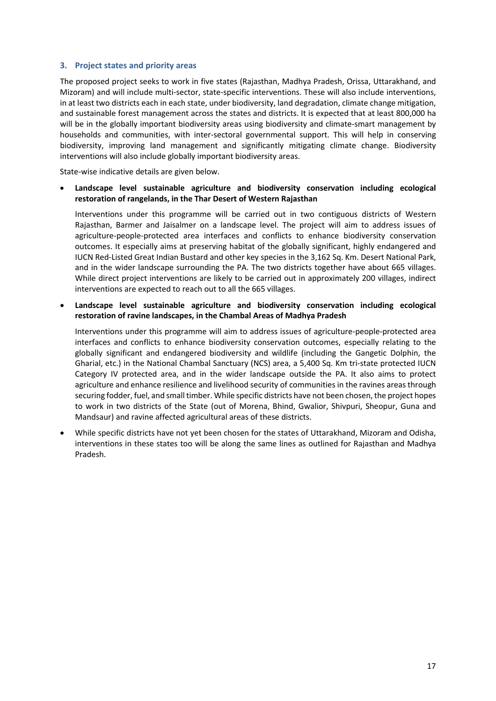#### <span id="page-16-0"></span>**3. Project states and priority areas**

The proposed project seeks to work in five states (Rajasthan, Madhya Pradesh, Orissa, Uttarakhand, and Mizoram) and will include multi-sector, state-specific interventions. These will also include interventions, in at least two districts each in each state, under biodiversity, land degradation, climate change mitigation, and sustainable forest management across the states and districts. It is expected that at least 800,000 ha will be in the globally important biodiversity areas using biodiversity and climate-smart management by households and communities, with inter-sectoral governmental support. This will help in conserving biodiversity, improving land management and significantly mitigating climate change. Biodiversity interventions will also include globally important biodiversity areas.

State-wise indicative details are given below.

• **Landscape level sustainable agriculture and biodiversity conservation including ecological restoration of rangelands, in the Thar Desert of Western Rajasthan**

Interventions under this programme will be carried out in two contiguous districts of Western Rajasthan, Barmer and Jaisalmer on a landscape level. The project will aim to address issues of agriculture-people-protected area interfaces and conflicts to enhance biodiversity conservation outcomes. It especially aims at preserving habitat of the globally significant, highly endangered and IUCN Red-Listed Great Indian Bustard and other key species in the 3,162 Sq. Km. Desert National Park, and in the wider landscape surrounding the PA. The two districts together have about 665 villages. While direct project interventions are likely to be carried out in approximately 200 villages, indirect interventions are expected to reach out to all the 665 villages.

• **Landscape level sustainable agriculture and biodiversity conservation including ecological restoration of ravine landscapes, in the Chambal Areas of Madhya Pradesh**

Interventions under this programme will aim to address issues of agriculture-people-protected area interfaces and conflicts to enhance biodiversity conservation outcomes, especially relating to the globally significant and endangered biodiversity and wildlife (including the Gangetic Dolphin, the Gharial, etc.) in the National Chambal Sanctuary (NCS) area, a 5,400 Sq. Km tri-state protected IUCN Category IV protected area, and in the wider landscape outside the PA. It also aims to protect agriculture and enhance resilience and livelihood security of communities in the ravines areas through securing fodder, fuel, and small timber. While specific districts have not been chosen, the project hopes to work in two districts of the State (out of Morena, Bhind, Gwalior, Shivpuri, Sheopur, Guna and Mandsaur) and ravine affected agricultural areas of these districts.

• While specific districts have not yet been chosen for the states of Uttarakhand, Mizoram and Odisha, interventions in these states too will be along the same lines as outlined for Rajasthan and Madhya Pradesh.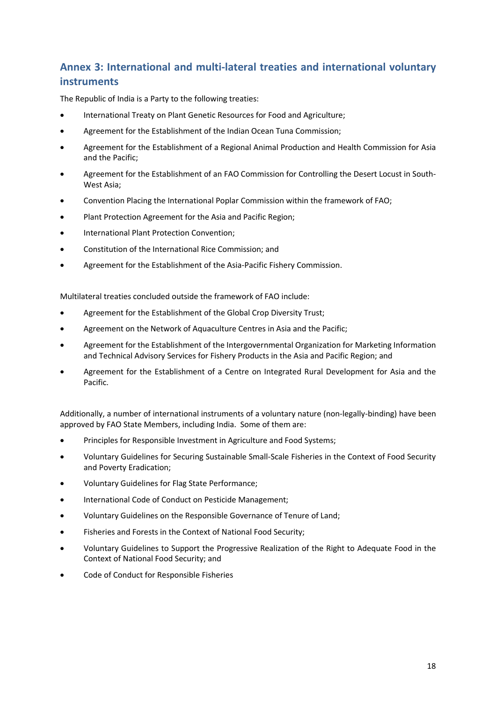## <span id="page-17-0"></span>**Annex 3: International and multi-lateral treaties and international voluntary instruments**

The Republic of India is a Party to the following treaties:

- International Treaty on Plant Genetic Resources for Food and Agriculture;
- Agreement for the Establishment of the Indian Ocean Tuna Commission;
- Agreement for the Establishment of a Regional Animal Production and Health Commission for Asia and the Pacific;
- Agreement for the Establishment of an FAO Commission for Controlling the Desert Locust in South-West Asia;
- Convention Placing the International Poplar Commission within the framework of FAO;
- Plant Protection Agreement for the Asia and Pacific Region;
- International Plant Protection Convention;
- Constitution of the International Rice Commission; and
- Agreement for the Establishment of the Asia-Pacific Fishery Commission.

Multilateral treaties concluded outside the framework of FAO include:

- Agreement for the Establishment of the Global Crop Diversity Trust;
- Agreement on the Network of Aquaculture Centres in Asia and the Pacific;
- Agreement for the Establishment of the Intergovernmental Organization for Marketing Information and Technical Advisory Services for Fishery Products in the Asia and Pacific Region; and
- Agreement for the Establishment of a Centre on Integrated Rural Development for Asia and the Pacific.

Additionally, a number of international instruments of a voluntary nature (non-legally-binding) have been approved by FAO State Members, including India. Some of them are:

- Principles for Responsible Investment in Agriculture and Food Systems;
- Voluntary Guidelines for Securing Sustainable Small-Scale Fisheries in the Context of Food Security and Poverty Eradication;
- Voluntary Guidelines for Flag State Performance;
- International Code of Conduct on Pesticide Management;
- Voluntary Guidelines on the Responsible Governance of Tenure of Land;
- Fisheries and Forests in the Context of National Food Security;
- Voluntary Guidelines to Support the Progressive Realization of the Right to Adequate Food in the Context of National Food Security; and
- Code of Conduct for Responsible Fisheries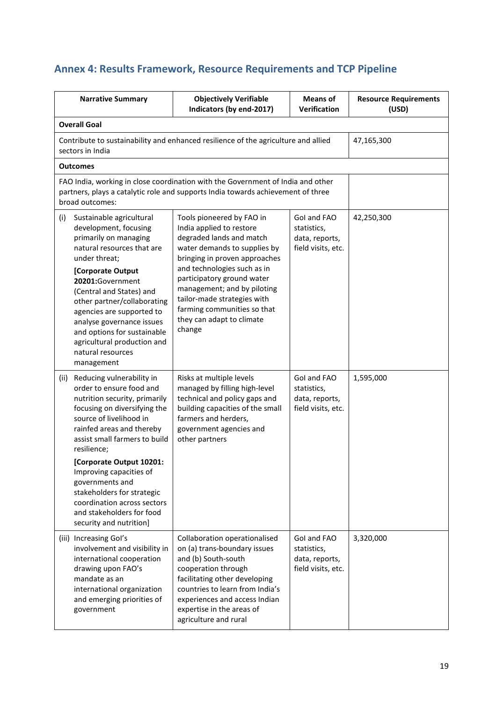# <span id="page-18-0"></span>**Annex 4: Results Framework, Resource Requirements and TCP Pipeline**

| <b>Narrative Summary</b>                                                                                                                                                                                                               | <b>Objectively Verifiable</b><br>Indicators (by end-2017)                                                                                                                                                                                                                     | <b>Means of</b><br>Verification                                    | <b>Resource Requirements</b><br>(USD) |  |  |
|----------------------------------------------------------------------------------------------------------------------------------------------------------------------------------------------------------------------------------------|-------------------------------------------------------------------------------------------------------------------------------------------------------------------------------------------------------------------------------------------------------------------------------|--------------------------------------------------------------------|---------------------------------------|--|--|
| <b>Overall Goal</b>                                                                                                                                                                                                                    |                                                                                                                                                                                                                                                                               |                                                                    |                                       |  |  |
| Contribute to sustainability and enhanced resilience of the agriculture and allied<br>sectors in India                                                                                                                                 | 47,165,300                                                                                                                                                                                                                                                                    |                                                                    |                                       |  |  |
| <b>Outcomes</b>                                                                                                                                                                                                                        |                                                                                                                                                                                                                                                                               |                                                                    |                                       |  |  |
| broad outcomes:                                                                                                                                                                                                                        | FAO India, working in close coordination with the Government of India and other<br>partners, plays a catalytic role and supports India towards achievement of three                                                                                                           |                                                                    |                                       |  |  |
| (i)<br>Sustainable agricultural<br>development, focusing<br>primarily on managing<br>natural resources that are<br>under threat;<br>[Corporate Output<br>20201:Government<br>(Central and States) and<br>other partner/collaborating   | Tools pioneered by FAO in<br>India applied to restore<br>degraded lands and match<br>water demands to supplies by<br>bringing in proven approaches<br>and technologies such as in<br>participatory ground water<br>management; and by piloting<br>tailor-made strategies with | Gol and FAO<br>statistics,<br>data, reports,<br>field visits, etc. | 42,250,300                            |  |  |
| agencies are supported to<br>analyse governance issues<br>and options for sustainable<br>agricultural production and<br>natural resources<br>management                                                                                | farming communities so that<br>they can adapt to climate<br>change                                                                                                                                                                                                            |                                                                    |                                       |  |  |
| Reducing vulnerability in<br>(ii)<br>order to ensure food and<br>nutrition security, primarily<br>focusing on diversifying the<br>source of livelihood in<br>rainfed areas and thereby<br>assist small farmers to build<br>resilience; | Risks at multiple levels<br>managed by filling high-level<br>technical and policy gaps and<br>building capacities of the small<br>farmers and herders,<br>government agencies and<br>other partners                                                                           | Gol and FAO<br>statistics,<br>data, reports,<br>field visits, etc. | 1,595,000                             |  |  |
| [Corporate Output 10201:<br>Improving capacities of<br>governments and<br>stakeholders for strategic<br>coordination across sectors<br>and stakeholders for food<br>security and nutrition]                                            |                                                                                                                                                                                                                                                                               |                                                                    |                                       |  |  |
| (iii) Increasing Gol's<br>involvement and visibility in<br>international cooperation<br>drawing upon FAO's<br>mandate as an<br>international organization<br>and emerging priorities of<br>government                                  | Collaboration operationalised<br>on (a) trans-boundary issues<br>and (b) South-south<br>cooperation through<br>facilitating other developing<br>countries to learn from India's<br>experiences and access Indian<br>expertise in the areas of<br>agriculture and rural        | Gol and FAO<br>statistics,<br>data, reports,<br>field visits, etc. | 3,320,000                             |  |  |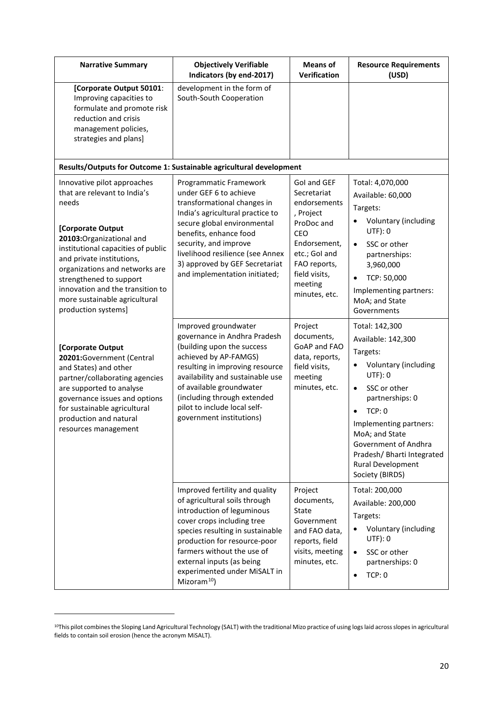| <b>Narrative Summary</b>                                                                                                                                                                                                                                                                                                                           | <b>Objectively Verifiable</b><br>Indicators (by end-2017)                                                                                                                                                                                                                                                    | <b>Means of</b><br>Verification                                                                                                                                            | <b>Resource Requirements</b><br>(USD)                                                                                                                                                                                                                                     |  |  |
|----------------------------------------------------------------------------------------------------------------------------------------------------------------------------------------------------------------------------------------------------------------------------------------------------------------------------------------------------|--------------------------------------------------------------------------------------------------------------------------------------------------------------------------------------------------------------------------------------------------------------------------------------------------------------|----------------------------------------------------------------------------------------------------------------------------------------------------------------------------|---------------------------------------------------------------------------------------------------------------------------------------------------------------------------------------------------------------------------------------------------------------------------|--|--|
| [Corporate Output 50101:<br>Improving capacities to<br>formulate and promote risk<br>reduction and crisis<br>management policies,<br>strategies and plans]                                                                                                                                                                                         | development in the form of<br>South-South Cooperation                                                                                                                                                                                                                                                        |                                                                                                                                                                            |                                                                                                                                                                                                                                                                           |  |  |
| Results/Outputs for Outcome 1: Sustainable agricultural development                                                                                                                                                                                                                                                                                |                                                                                                                                                                                                                                                                                                              |                                                                                                                                                                            |                                                                                                                                                                                                                                                                           |  |  |
| Innovative pilot approaches<br>that are relevant to India's<br>needs<br>[Corporate Output<br>20103: Organizational and<br>institutional capacities of public<br>and private institutions,<br>organizations and networks are<br>strengthened to support<br>innovation and the transition to<br>more sustainable agricultural<br>production systems] | Programmatic Framework<br>under GEF 6 to achieve<br>transformational changes in<br>India's agricultural practice to<br>secure global environmental<br>benefits, enhance food<br>security, and improve<br>livelihood resilience (see Annex<br>3) approved by GEF Secretariat<br>and implementation initiated; | Gol and GEF<br>Secretariat<br>endorsements<br>, Project<br>ProDoc and<br>CEO<br>Endorsement,<br>etc.; GoI and<br>FAO reports,<br>field visits,<br>meeting<br>minutes, etc. | Total: 4,070,000<br>Available: 60,000<br>Targets:<br>Voluntary (including<br>$UTF)$ : 0<br>SSC or other<br>$\bullet$<br>partnerships:<br>3,960,000<br>TCP: 50,000<br>$\bullet$<br>Implementing partners:<br>MoA; and State<br>Governments                                 |  |  |
| [Corporate Output<br>20201:Government (Central<br>and States) and other<br>partner/collaborating agencies<br>are supported to analyse<br>governance issues and options<br>for sustainable agricultural<br>production and natural<br>resources management                                                                                           | Improved groundwater<br>governance in Andhra Pradesh<br>(building upon the success<br>achieved by AP-FAMGS)<br>resulting in improving resource<br>availability and sustainable use<br>of available groundwater<br>(including through extended<br>pilot to include local self-<br>government institutions)    | Project<br>documents,<br>GoAP and FAO<br>data, reports,<br>field visits,<br>meeting<br>minutes, etc.                                                                       | Total: 142,300<br>Available: 142,300<br>Targets:<br>Voluntary (including<br>UTF): 0<br>SSC or other<br>partnerships: 0<br>TCP: 0<br>Implementing partners:<br>MoA; and State<br>Government of Andhra<br>Pradesh/Bharti Integrated<br>Rural Development<br>Society (BIRDS) |  |  |
|                                                                                                                                                                                                                                                                                                                                                    | Improved fertility and quality<br>of agricultural soils through<br>introduction of leguminous<br>cover crops including tree<br>species resulting in sustainable<br>production for resource-poor<br>farmers without the use of<br>external inputs (as being<br>experimented under MiSALT in<br>Mizoram $10$ ) | Project<br>documents,<br><b>State</b><br>Government<br>and FAO data,<br>reports, field<br>visits, meeting<br>minutes, etc.                                                 | Total: 200,000<br>Available: 200,000<br>Targets:<br>Voluntary (including<br>$UTF)$ : 0<br>SSC or other<br>$\bullet$<br>partnerships: 0<br>TCP: 0                                                                                                                          |  |  |

<span id="page-19-0"></span><sup>&</sup>lt;sup>10</sup>This pilot combines the Sloping Land Agricultural Technology (SALT) with the traditional Mizo practice of using logs laid across slopes in agricultural fields to contain soil erosion (hence the acronym MiSALT).

 $\ddot{ }$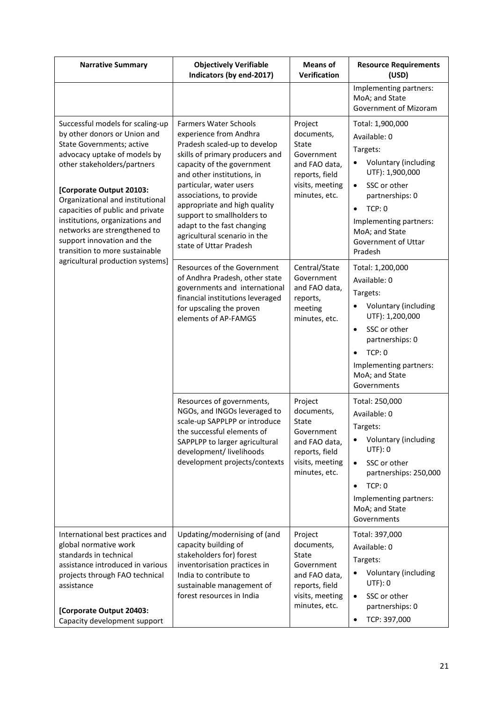| <b>Narrative Summary</b>                                                                                                        | <b>Objectively Verifiable</b><br>Indicators (by end-2017)                                                                                                                                                               | <b>Means of</b><br><b>Verification</b>                                                                              | <b>Resource Requirements</b><br>(USD)                                      |
|---------------------------------------------------------------------------------------------------------------------------------|-------------------------------------------------------------------------------------------------------------------------------------------------------------------------------------------------------------------------|---------------------------------------------------------------------------------------------------------------------|----------------------------------------------------------------------------|
|                                                                                                                                 |                                                                                                                                                                                                                         |                                                                                                                     | Implementing partners:<br>MoA; and State<br>Government of Mizoram          |
| Successful models for scaling-up                                                                                                | <b>Farmers Water Schools</b>                                                                                                                                                                                            | Project                                                                                                             | Total: 1,900,000                                                           |
| by other donors or Union and<br>State Governments; active                                                                       | experience from Andhra<br>Pradesh scaled-up to develop                                                                                                                                                                  | documents,<br>State                                                                                                 | Available: 0                                                               |
| advocacy uptake of models by                                                                                                    | skills of primary producers and                                                                                                                                                                                         | Government                                                                                                          | Targets:                                                                   |
| other stakeholders/partners                                                                                                     | capacity of the government<br>and other institutions, in                                                                                                                                                                | and FAO data,<br>reports, field                                                                                     | Voluntary (including<br>UTF): 1,900,000                                    |
| [Corporate Output 20103:<br>Organizational and institutional                                                                    | particular, water users<br>associations, to provide                                                                                                                                                                     | visits, meeting<br>minutes, etc.                                                                                    | SSC or other<br>$\bullet$<br>partnerships: 0                               |
| capacities of public and private                                                                                                | appropriate and high quality                                                                                                                                                                                            |                                                                                                                     | TCP: 0<br>$\bullet$                                                        |
| institutions, organizations and<br>networks are strengthened to<br>support innovation and the<br>transition to more sustainable | support to smallholders to<br>adapt to the fast changing<br>agricultural scenario in the<br>state of Uttar Pradesh                                                                                                      |                                                                                                                     | Implementing partners:<br>MoA; and State<br>Government of Uttar<br>Pradesh |
| agricultural production systems]                                                                                                | Resources of the Government                                                                                                                                                                                             | Central/State                                                                                                       | Total: 1,200,000                                                           |
|                                                                                                                                 | of Andhra Pradesh, other state                                                                                                                                                                                          | Government                                                                                                          | Available: 0                                                               |
|                                                                                                                                 | governments and international<br>financial institutions leveraged                                                                                                                                                       | and FAO data,<br>reports,<br>meeting<br>minutes, etc.                                                               | Targets:                                                                   |
|                                                                                                                                 | for upscaling the proven<br>elements of AP-FAMGS                                                                                                                                                                        |                                                                                                                     | Voluntary (including<br>UTF): 1,200,000                                    |
|                                                                                                                                 |                                                                                                                                                                                                                         |                                                                                                                     | SSC or other<br>$\bullet$<br>partnerships: 0                               |
|                                                                                                                                 |                                                                                                                                                                                                                         |                                                                                                                     | TCP: 0                                                                     |
|                                                                                                                                 |                                                                                                                                                                                                                         |                                                                                                                     | Implementing partners:<br>MoA; and State<br>Governments                    |
|                                                                                                                                 | Resources of governments,<br>NGOs, and INGOs leveraged to<br>scale-up SAPPLPP or introduce<br>the successful elements of<br>SAPPLPP to larger agricultural<br>development/ livelihoods<br>development projects/contexts | Project<br>documents,<br>State<br>Government<br>and FAO data,<br>reports, field<br>visits, meeting<br>minutes, etc. | Total: 250,000                                                             |
|                                                                                                                                 |                                                                                                                                                                                                                         |                                                                                                                     | Available: 0                                                               |
|                                                                                                                                 |                                                                                                                                                                                                                         |                                                                                                                     | Targets:                                                                   |
|                                                                                                                                 |                                                                                                                                                                                                                         |                                                                                                                     | Voluntary (including<br>$UTF)$ : 0                                         |
|                                                                                                                                 |                                                                                                                                                                                                                         |                                                                                                                     | SSC or other<br>$\bullet$<br>partnerships: 250,000                         |
|                                                                                                                                 |                                                                                                                                                                                                                         |                                                                                                                     | TCP: 0<br>$\bullet$                                                        |
|                                                                                                                                 |                                                                                                                                                                                                                         |                                                                                                                     | Implementing partners:<br>MoA; and State<br>Governments                    |
| International best practices and                                                                                                | Updating/modernising of (and                                                                                                                                                                                            | Project                                                                                                             | Total: 397,000                                                             |
| global normative work<br>standards in technical                                                                                 | capacity building of<br>stakeholders for) forest                                                                                                                                                                        | documents,<br>State                                                                                                 | Available: 0                                                               |
| assistance introduced in various                                                                                                | inventorisation practices in                                                                                                                                                                                            | Government                                                                                                          | Targets:                                                                   |
| projects through FAO technical                                                                                                  | India to contribute to                                                                                                                                                                                                  | and FAO data,                                                                                                       | Voluntary (including<br>$UTF)$ : 0                                         |
| assistance                                                                                                                      | sustainable management of<br>forest resources in India                                                                                                                                                                  | reports, field<br>visits, meeting<br>minutes, etc.                                                                  | SSC or other<br>$\bullet$                                                  |
| [Corporate Output 20403:                                                                                                        |                                                                                                                                                                                                                         |                                                                                                                     | partnerships: 0                                                            |
| Capacity development support                                                                                                    |                                                                                                                                                                                                                         |                                                                                                                     | TCP: 397,000<br>٠                                                          |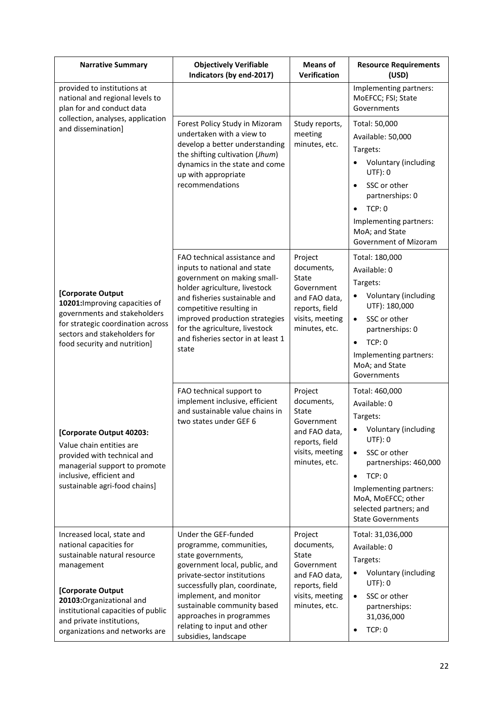| <b>Narrative Summary</b>                                                                                                                                                                                                                                   | <b>Objectively Verifiable</b><br>Indicators (by end-2017)                                                                                                                                                                                                                                                           | <b>Means of</b><br>Verification                                                                                     | <b>Resource Requirements</b><br>(USD)                                                                                                                                                                                                                               |
|------------------------------------------------------------------------------------------------------------------------------------------------------------------------------------------------------------------------------------------------------------|---------------------------------------------------------------------------------------------------------------------------------------------------------------------------------------------------------------------------------------------------------------------------------------------------------------------|---------------------------------------------------------------------------------------------------------------------|---------------------------------------------------------------------------------------------------------------------------------------------------------------------------------------------------------------------------------------------------------------------|
| provided to institutions at<br>national and regional levels to<br>plan for and conduct data                                                                                                                                                                |                                                                                                                                                                                                                                                                                                                     |                                                                                                                     | Implementing partners:<br>MoEFCC; FSI; State<br>Governments                                                                                                                                                                                                         |
| collection, analyses, application<br>and dissemination]                                                                                                                                                                                                    | Forest Policy Study in Mizoram<br>undertaken with a view to<br>develop a better understanding<br>the shifting cultivation (Jhum)<br>dynamics in the state and come<br>up with appropriate<br>recommendations                                                                                                        | Study reports,<br>meeting<br>minutes, etc.                                                                          | Total: 50,000<br>Available: 50,000<br>Targets:<br>Voluntary (including<br>$UTF)$ : 0<br>SSC or other<br>partnerships: 0<br>TCP: 0<br>$\bullet$<br>Implementing partners:<br>MoA; and State<br>Government of Mizoram                                                 |
| [Corporate Output<br>10201: Improving capacities of<br>governments and stakeholders<br>for strategic coordination across<br>sectors and stakeholders for<br>food security and nutrition]                                                                   | FAO technical assistance and<br>inputs to national and state<br>government on making small-<br>holder agriculture, livestock<br>and fisheries sustainable and<br>competitive resulting in<br>improved production strategies<br>for the agriculture, livestock<br>and fisheries sector in at least 1<br>state        | Project<br>documents,<br>State<br>Government<br>and FAO data,<br>reports, field<br>visits, meeting<br>minutes, etc. | Total: 180,000<br>Available: 0<br>Targets:<br>Voluntary (including<br>UTF): 180,000<br>SSC or other<br>$\bullet$<br>partnerships: 0<br>TCP: 0<br>$\bullet$<br>Implementing partners:<br>MoA; and State<br>Governments                                               |
| [Corporate Output 40203:<br>Value chain entities are<br>provided with technical and<br>managerial support to promote<br>inclusive, efficient and<br>sustainable agri-food chains]                                                                          | FAO technical support to<br>implement inclusive, efficient<br>and sustainable value chains in<br>two states under GEF 6                                                                                                                                                                                             | Project<br>documents,<br>State<br>Government<br>and FAO data,<br>reports, field<br>visits, meeting<br>minutes, etc. | Total: 460,000<br>Available: 0<br>Targets:<br>Voluntary (including<br>$UTF)$ : 0<br>SSC or other<br>$\bullet$<br>partnerships: 460,000<br>TCP: 0<br>$\bullet$<br>Implementing partners:<br>MoA, MoEFCC; other<br>selected partners; and<br><b>State Governments</b> |
| Increased local, state and<br>national capacities for<br>sustainable natural resource<br>management<br>[Corporate Output<br>20103: Organizational and<br>institutional capacities of public<br>and private institutions,<br>organizations and networks are | Under the GEF-funded<br>programme, communities,<br>state governments,<br>government local, public, and<br>private-sector institutions<br>successfully plan, coordinate,<br>implement, and monitor<br>sustainable community based<br>approaches in programmes<br>relating to input and other<br>subsidies, landscape | Project<br>documents,<br>State<br>Government<br>and FAO data,<br>reports, field<br>visits, meeting<br>minutes, etc. | Total: 31,036,000<br>Available: 0<br>Targets:<br>Voluntary (including<br>$UTF)$ : 0<br>SSC or other<br>$\bullet$<br>partnerships:<br>31,036,000<br>TCP: 0                                                                                                           |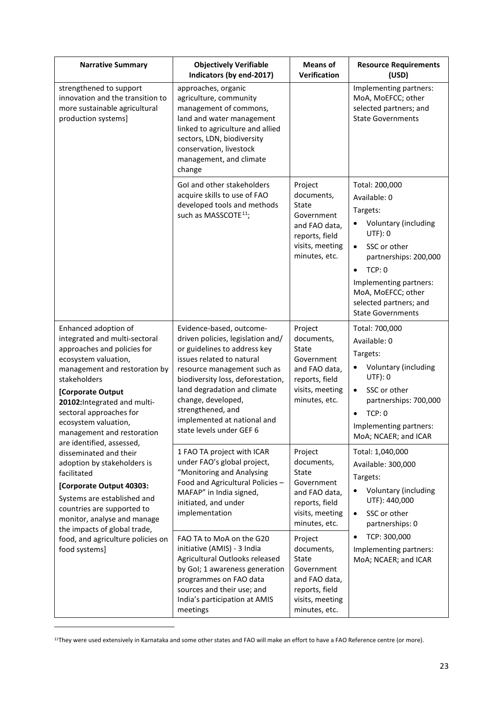| <b>Narrative Summary</b>                                                                                                                                                                                                                                                                                        | <b>Objectively Verifiable</b><br>Indicators (by end-2017)                                                                                                                                                                                                                                                                                                | <b>Means of</b><br><b>Verification</b>                                                                                                                                                      | <b>Resource Requirements</b><br>(USD)                                                                                                                                                                                                                               |
|-----------------------------------------------------------------------------------------------------------------------------------------------------------------------------------------------------------------------------------------------------------------------------------------------------------------|----------------------------------------------------------------------------------------------------------------------------------------------------------------------------------------------------------------------------------------------------------------------------------------------------------------------------------------------------------|---------------------------------------------------------------------------------------------------------------------------------------------------------------------------------------------|---------------------------------------------------------------------------------------------------------------------------------------------------------------------------------------------------------------------------------------------------------------------|
| strengthened to support<br>innovation and the transition to<br>more sustainable agricultural<br>production systems]                                                                                                                                                                                             | approaches, organic<br>agriculture, community<br>management of commons,<br>land and water management<br>linked to agriculture and allied<br>sectors, LDN, biodiversity<br>conservation, livestock<br>management, and climate<br>change                                                                                                                   |                                                                                                                                                                                             | Implementing partners:<br>MoA, MoEFCC; other<br>selected partners; and<br><b>State Governments</b>                                                                                                                                                                  |
|                                                                                                                                                                                                                                                                                                                 | GoI and other stakeholders<br>acquire skills to use of FAO<br>developed tools and methods<br>such as MASSCOTE <sup>11</sup> ;                                                                                                                                                                                                                            | Project<br>documents,<br>State<br>Government<br>and FAO data,<br>reports, field<br>visits, meeting<br>minutes, etc.                                                                         | Total: 200,000<br>Available: 0<br>Targets:<br>Voluntary (including<br>$UTF)$ : 0<br>SSC or other<br>$\bullet$<br>partnerships: 200,000<br>TCP: 0<br>$\bullet$<br>Implementing partners:<br>MoA, MoEFCC; other<br>selected partners; and<br><b>State Governments</b> |
| Enhanced adoption of<br>integrated and multi-sectoral<br>approaches and policies for<br>ecosystem valuation,<br>management and restoration by<br>stakeholders<br>[Corporate Output<br>20102: Integrated and multi-<br>sectoral approaches for<br>ecosystem valuation,<br>management and restoration             | Evidence-based, outcome-<br>driven policies, legislation and/<br>or guidelines to address key<br>issues related to natural<br>resource management such as<br>biodiversity loss, deforestation,<br>land degradation and climate<br>change, developed,<br>strengthened, and<br>implemented at national and<br>state levels under GEF 6                     | Project<br>documents,<br><b>State</b><br>Government<br>and FAO data,<br>reports, field<br>visits, meeting<br>minutes, etc.                                                                  | Total: 700,000<br>Available: 0<br>Targets:<br>Voluntary (including<br>$UTF)$ : 0<br>SSC or other<br>$\bullet$<br>partnerships: 700,000<br>TCP: 0<br>Implementing partners:<br>MoA; NCAER; and ICAR                                                                  |
| are identified, assessed,<br>disseminated and their<br>adoption by stakeholders is<br>facilitated<br>[Corporate Output 40303:<br>Systems are established and<br>countries are supported to<br>monitor, analyse and manage<br>the impacts of global trade,<br>food, and agriculture policies on<br>food systems] | 1 FAO TA project with ICAR<br>under FAO's global project,<br>"Monitoring and Analysing<br>Food and Agricultural Policies -<br>MAFAP" in India signed,<br>initiated, and under<br>implementation<br>FAO TA to MoA on the G20<br>initiative (AMIS) - 3 India<br>Agricultural Outlooks released<br>by Gol; 1 awareness generation<br>programmes on FAO data | Project<br>documents,<br>State<br>Government<br>and FAO data,<br>reports, field<br>visits, meeting<br>minutes, etc.<br>Project<br>documents,<br><b>State</b><br>Government<br>and FAO data, | Total: 1,040,000<br>Available: 300,000<br>Targets:<br>Voluntary (including<br>UTF): 440,000<br>SSC or other<br>$\bullet$<br>partnerships: 0<br>TCP: 300,000<br>$\bullet$<br>Implementing partners:<br>MoA; NCAER; and ICAR                                          |
|                                                                                                                                                                                                                                                                                                                 | sources and their use; and<br>India's participation at AMIS<br>meetings                                                                                                                                                                                                                                                                                  | reports, field<br>visits, meeting<br>minutes, etc.                                                                                                                                          |                                                                                                                                                                                                                                                                     |

<span id="page-22-0"></span><sup>11</sup>They were used extensively in Karnataka and some other states and FAO will make an effort to have a FAO Reference centre (or more).

 $\ddot{ }$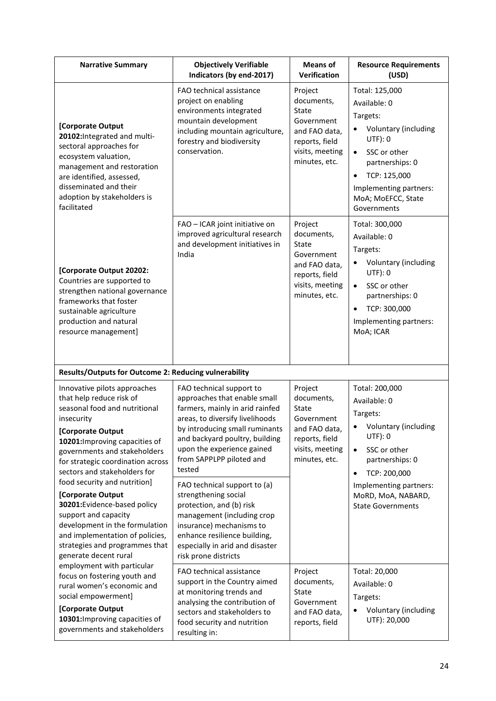| <b>Narrative Summary</b>                                                                                                                                                                                                                                                                                                                                                                                          | <b>Objectively Verifiable</b><br>Indicators (by end-2017)                                                                                                                                                                                                                                                                                                                                                            | <b>Means of</b><br>Verification                                                                                            | <b>Resource Requirements</b><br>(USD)                                                                                                                                                                                               |
|-------------------------------------------------------------------------------------------------------------------------------------------------------------------------------------------------------------------------------------------------------------------------------------------------------------------------------------------------------------------------------------------------------------------|----------------------------------------------------------------------------------------------------------------------------------------------------------------------------------------------------------------------------------------------------------------------------------------------------------------------------------------------------------------------------------------------------------------------|----------------------------------------------------------------------------------------------------------------------------|-------------------------------------------------------------------------------------------------------------------------------------------------------------------------------------------------------------------------------------|
| [Corporate Output<br>20102: Integrated and multi-<br>sectoral approaches for<br>ecosystem valuation,<br>management and restoration<br>are identified, assessed,<br>disseminated and their<br>adoption by stakeholders is<br>facilitated                                                                                                                                                                           | FAO technical assistance<br>project on enabling<br>environments integrated<br>mountain development<br>including mountain agriculture,<br>forestry and biodiversity<br>conservation.                                                                                                                                                                                                                                  | Project<br>documents,<br>State<br>Government<br>and FAO data,<br>reports, field<br>visits, meeting<br>minutes, etc.        | Total: 125,000<br>Available: 0<br>Targets:<br>Voluntary (including<br>$UTF)$ : 0<br>SSC or other<br>$\bullet$<br>partnerships: 0<br>TCP: 125,000<br>٠<br>Implementing partners:<br>MoA; MoEFCC, State<br>Governments                |
| [Corporate Output 20202:<br>Countries are supported to<br>strengthen national governance<br>frameworks that foster<br>sustainable agriculture<br>production and natural<br>resource management]                                                                                                                                                                                                                   | FAO - ICAR joint initiative on<br>improved agricultural research<br>and development initiatives in<br>India                                                                                                                                                                                                                                                                                                          | Project<br>documents,<br><b>State</b><br>Government<br>and FAO data,<br>reports, field<br>visits, meeting<br>minutes, etc. | Total: 300,000<br>Available: 0<br>Targets:<br>Voluntary (including<br>UTF): 0<br>SSC or other<br>$\bullet$<br>partnerships: 0<br>TCP: 300,000<br>Implementing partners:<br>MoA; ICAR                                                |
| Results/Outputs for Outcome 2: Reducing vulnerability                                                                                                                                                                                                                                                                                                                                                             |                                                                                                                                                                                                                                                                                                                                                                                                                      |                                                                                                                            |                                                                                                                                                                                                                                     |
| Innovative pilots approaches<br>that help reduce risk of<br>seasonal food and nutritional<br>insecurity<br>[Corporate Output<br>10201: Improving capacities of<br>governments and stakeholders<br>for strategic coordination across<br>sectors and stakeholders for<br>food security and nutrition]<br>[Corporate Output<br>30201:Evidence-based policy<br>support and capacity<br>development in the formulation | FAO technical support to<br>approaches that enable small<br>farmers, mainly in arid rainfed<br>areas, to diversify livelihoods<br>by introducing small ruminants<br>and backyard poultry, building<br>upon the experience gained<br>from SAPPLPP piloted and<br>tested<br>FAO technical support to (a)<br>strengthening social<br>protection, and (b) risk<br>management (including crop<br>insurance) mechanisms to | Project<br>documents,<br>State<br>Government<br>and FAO data,<br>reports, field<br>visits, meeting<br>minutes, etc.        | Total: 200,000<br>Available: 0<br>Targets:<br>• Voluntary (including<br>$UTF)$ : 0<br>SSC or other<br>$\bullet$<br>partnerships: 0<br>TCP: 200,000<br>٠<br>Implementing partners:<br>MoRD, MoA, NABARD,<br><b>State Governments</b> |
| and implementation of policies,<br>strategies and programmes that<br>generate decent rural                                                                                                                                                                                                                                                                                                                        | enhance resilience building,<br>especially in arid and disaster<br>risk prone districts                                                                                                                                                                                                                                                                                                                              |                                                                                                                            |                                                                                                                                                                                                                                     |
| employment with particular<br>focus on fostering youth and<br>rural women's economic and<br>social empowerment]<br>[Corporate Output<br>10301: Improving capacities of<br>governments and stakeholders                                                                                                                                                                                                            | FAO technical assistance<br>support in the Country aimed<br>at monitoring trends and<br>analysing the contribution of<br>sectors and stakeholders to<br>food security and nutrition<br>resulting in:                                                                                                                                                                                                                 | Project<br>documents,<br>State<br>Government<br>and FAO data,<br>reports, field                                            | Total: 20,000<br>Available: 0<br>Targets:<br>Voluntary (including<br>UTF): 20,000                                                                                                                                                   |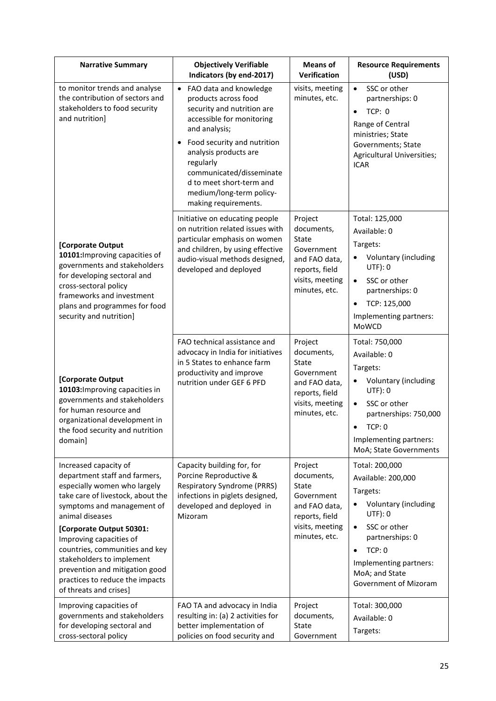| <b>Narrative Summary</b>                                                                                                                                                                                                                                                                                                                                                                          | <b>Objectively Verifiable</b><br>Indicators (by end-2017)                                                                                                                                                                                                                                                                | <b>Means of</b><br>Verification                                                                                            | <b>Resource Requirements</b><br>(USD)                                                                                                                                                                                           |
|---------------------------------------------------------------------------------------------------------------------------------------------------------------------------------------------------------------------------------------------------------------------------------------------------------------------------------------------------------------------------------------------------|--------------------------------------------------------------------------------------------------------------------------------------------------------------------------------------------------------------------------------------------------------------------------------------------------------------------------|----------------------------------------------------------------------------------------------------------------------------|---------------------------------------------------------------------------------------------------------------------------------------------------------------------------------------------------------------------------------|
| to monitor trends and analyse<br>the contribution of sectors and<br>stakeholders to food security<br>and nutrition]                                                                                                                                                                                                                                                                               | FAO data and knowledge<br>$\bullet$<br>products across food<br>security and nutrition are<br>accessible for monitoring<br>and analysis;<br>Food security and nutrition<br>analysis products are<br>regularly<br>communicated/disseminate<br>d to meet short-term and<br>medium/long-term policy-<br>making requirements. | visits, meeting<br>minutes, etc.                                                                                           | SSC or other<br>$\bullet$<br>partnerships: 0<br>TCP: 0<br>Range of Central<br>ministries; State<br>Governments; State<br>Agricultural Universities;<br><b>ICAR</b>                                                              |
| [Corporate Output<br>10101: Improving capacities of<br>governments and stakeholders<br>for developing sectoral and<br>cross-sectoral policy<br>frameworks and investment<br>plans and programmes for food<br>security and nutrition]                                                                                                                                                              | Initiative on educating people<br>on nutrition related issues with<br>particular emphasis on women<br>and children, by using effective<br>audio-visual methods designed,<br>developed and deployed                                                                                                                       | Project<br>documents,<br><b>State</b><br>Government<br>and FAO data,<br>reports, field<br>visits, meeting<br>minutes, etc. | Total: 125,000<br>Available: 0<br>Targets:<br>Voluntary (including<br>UTF): 0<br>SSC or other<br>$\bullet$<br>partnerships: 0<br>TCP: 125,000<br>$\bullet$<br>Implementing partners:<br>MoWCD                                   |
| [Corporate Output<br>10103: Improving capacities in<br>governments and stakeholders<br>for human resource and<br>organizational development in<br>the food security and nutrition<br>domain]                                                                                                                                                                                                      | FAO technical assistance and<br>advocacy in India for initiatives<br>in 5 States to enhance farm<br>productivity and improve<br>nutrition under GEF 6 PFD                                                                                                                                                                | Project<br>documents,<br>State<br>Government<br>and FAO data,<br>reports, field<br>visits, meeting<br>minutes, etc.        | Total: 750,000<br>Available: 0<br>Targets:<br>Voluntary (including<br>UTF): 0<br>SSC or other<br>$\bullet$<br>partnerships: 750,000<br>TCP: 0<br>$\bullet$<br>Implementing partners:<br>MoA; State Governments                  |
| Increased capacity of<br>department staff and farmers,<br>especially women who largely<br>take care of livestock, about the<br>symptoms and management of<br>animal diseases<br>[Corporate Output 50301:<br>Improving capacities of<br>countries, communities and key<br>stakeholders to implement<br>prevention and mitigation good<br>practices to reduce the impacts<br>of threats and crises] | Capacity building for, for<br>Porcine Reproductive &<br><b>Respiratory Syndrome (PRRS)</b><br>infections in piglets designed,<br>developed and deployed in<br>Mizoram                                                                                                                                                    | Project<br>documents,<br>State<br>Government<br>and FAO data,<br>reports, field<br>visits, meeting<br>minutes, etc.        | Total: 200,000<br>Available: 200,000<br>Targets:<br>Voluntary (including<br>UTF): 0<br>SSC or other<br>$\bullet$<br>partnerships: 0<br>TCP: 0<br>$\bullet$<br>Implementing partners:<br>MoA; and State<br>Government of Mizoram |
| Improving capacities of<br>governments and stakeholders<br>for developing sectoral and<br>cross-sectoral policy                                                                                                                                                                                                                                                                                   | FAO TA and advocacy in India<br>resulting in: (a) 2 activities for<br>better implementation of<br>policies on food security and                                                                                                                                                                                          | Project<br>documents,<br>State<br>Government                                                                               | Total: 300,000<br>Available: 0<br>Targets:                                                                                                                                                                                      |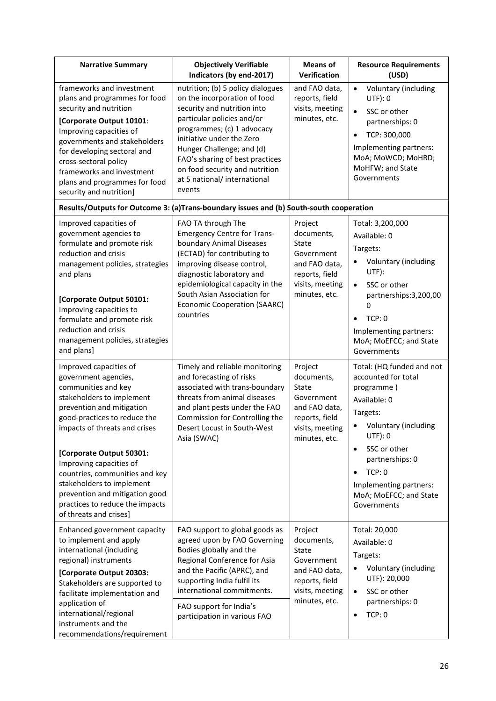| <b>Narrative Summary</b>                                                                                                                                                                                                                                                                                                                                                                    | <b>Objectively Verifiable</b><br>Indicators (by end-2017)                                                                                                                                                                                                                                                                             | <b>Means of</b><br><b>Verification</b>                                                                                     | <b>Resource Requirements</b><br>(USD)                                                                                                                                                                                                                                                |
|---------------------------------------------------------------------------------------------------------------------------------------------------------------------------------------------------------------------------------------------------------------------------------------------------------------------------------------------------------------------------------------------|---------------------------------------------------------------------------------------------------------------------------------------------------------------------------------------------------------------------------------------------------------------------------------------------------------------------------------------|----------------------------------------------------------------------------------------------------------------------------|--------------------------------------------------------------------------------------------------------------------------------------------------------------------------------------------------------------------------------------------------------------------------------------|
| frameworks and investment<br>plans and programmes for food<br>security and nutrition<br>[Corporate Output 10101:<br>Improving capacities of<br>governments and stakeholders<br>for developing sectoral and<br>cross-sectoral policy<br>frameworks and investment<br>plans and programmes for food<br>security and nutrition]                                                                | nutrition; (b) 5 policy dialogues<br>on the incorporation of food<br>security and nutrition into<br>particular policies and/or<br>programmes; (c) 1 advocacy<br>initiative under the Zero<br>Hunger Challenge; and (d)<br>FAO's sharing of best practices<br>on food security and nutrition<br>at 5 national/ international<br>events | and FAO data,<br>reports, field<br>visits, meeting<br>minutes, etc.                                                        | $\bullet$<br>Voluntary (including<br>$UTF)$ : 0<br>SSC or other<br>$\bullet$<br>partnerships: 0<br>TCP: 300,000<br>$\bullet$<br>Implementing partners:<br>MoA; MoWCD; MoHRD;<br>MoHFW; and State<br>Governments                                                                      |
|                                                                                                                                                                                                                                                                                                                                                                                             | Results/Outputs for Outcome 3: (a)Trans-boundary issues and (b) South-south cooperation                                                                                                                                                                                                                                               |                                                                                                                            |                                                                                                                                                                                                                                                                                      |
| Improved capacities of<br>government agencies to<br>formulate and promote risk<br>reduction and crisis<br>management policies, strategies<br>and plans<br>[Corporate Output 50101:<br>Improving capacities to<br>formulate and promote risk<br>reduction and crisis                                                                                                                         | FAO TA through The<br><b>Emergency Centre for Trans-</b><br>boundary Animal Diseases<br>(ECTAD) for contributing to<br>improving disease control,<br>diagnostic laboratory and<br>epidemiological capacity in the<br>South Asian Association for<br><b>Economic Cooperation (SAARC)</b><br>countries                                  | Project<br>documents,<br>State<br>Government<br>and FAO data,<br>reports, field<br>visits, meeting<br>minutes, etc.        | Total: 3,200,000<br>Available: 0<br>Targets:<br>Voluntary (including<br>٠<br>UTF):<br>SSC or other<br>$\bullet$<br>partnerships: 3,200,00<br>0<br>TCP: 0<br>$\bullet$<br>Implementing partners:                                                                                      |
| management policies, strategies<br>and plans]                                                                                                                                                                                                                                                                                                                                               |                                                                                                                                                                                                                                                                                                                                       |                                                                                                                            | MoA; MoEFCC; and State<br>Governments                                                                                                                                                                                                                                                |
| Improved capacities of<br>government agencies,<br>communities and key<br>stakeholders to implement<br>prevention and mitigation<br>good-practices to reduce the<br>impacts of threats and crises<br>[Corporate Output 50301:<br>Improving capacities of<br>countries, communities and key<br>stakeholders to implement<br>prevention and mitigation good<br>practices to reduce the impacts | Timely and reliable monitoring<br>and forecasting of risks<br>associated with trans-boundary<br>threats from animal diseases<br>and plant pests under the FAO<br>Commission for Controlling the<br>Desert Locust in South-West<br>Asia (SWAC)                                                                                         | Project<br>documents,<br><b>State</b><br>Government<br>and FAO data,<br>reports, field<br>visits, meeting<br>minutes, etc. | Total: (HQ funded and not<br>accounted for total<br>programme)<br>Available: 0<br>Targets:<br>Voluntary (including<br>$\bullet$<br>UTF): 0<br>SSC or other<br>$\bullet$<br>partnerships: 0<br>TCP: 0<br>$\bullet$<br>Implementing partners:<br>MoA; MoEFCC; and State<br>Governments |
| of threats and crises]                                                                                                                                                                                                                                                                                                                                                                      |                                                                                                                                                                                                                                                                                                                                       |                                                                                                                            |                                                                                                                                                                                                                                                                                      |
| Enhanced government capacity<br>to implement and apply<br>international (including<br>regional) instruments<br>[Corporate Output 20303:<br>Stakeholders are supported to<br>facilitate implementation and<br>application of<br>international/regional<br>instruments and the<br>recommendations/requirement                                                                                 | FAO support to global goods as<br>agreed upon by FAO Governing<br>Bodies globally and the<br>Regional Conference for Asia<br>and the Pacific (APRC), and<br>supporting India fulfil its<br>international commitments.<br>FAO support for India's<br>participation in various FAO                                                      | Project<br>documents,<br>State<br>Government<br>and FAO data,<br>reports, field<br>visits, meeting<br>minutes, etc.        | Total: 20,000<br>Available: 0<br>Targets:<br>Voluntary (including<br>UTF): 20,000<br>SSC or other<br>$\bullet$<br>partnerships: 0<br>TCP: 0<br>$\bullet$                                                                                                                             |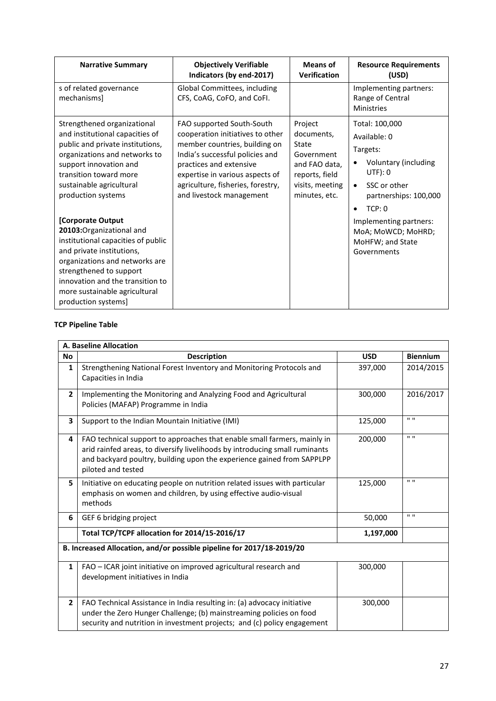| <b>Narrative Summary</b>                                                                                                                                                                                                                                                                                                                                                                                                                                                                                                | <b>Objectively Verifiable</b><br>Indicators (by end-2017)                                                                                                                                                                                                        | <b>Means of</b><br><b>Verification</b>                                                                              | <b>Resource Requirements</b><br>(USD)                                                                                                                                                                                               |  |
|-------------------------------------------------------------------------------------------------------------------------------------------------------------------------------------------------------------------------------------------------------------------------------------------------------------------------------------------------------------------------------------------------------------------------------------------------------------------------------------------------------------------------|------------------------------------------------------------------------------------------------------------------------------------------------------------------------------------------------------------------------------------------------------------------|---------------------------------------------------------------------------------------------------------------------|-------------------------------------------------------------------------------------------------------------------------------------------------------------------------------------------------------------------------------------|--|
| s of related governance<br>mechanisms]                                                                                                                                                                                                                                                                                                                                                                                                                                                                                  | Global Committees, including<br>CFS, CoAG, CoFO, and CoFI.                                                                                                                                                                                                       |                                                                                                                     | Implementing partners:<br>Range of Central<br><b>Ministries</b>                                                                                                                                                                     |  |
| Strengthened organizational<br>and institutional capacities of<br>public and private institutions,<br>organizations and networks to<br>support innovation and<br>transition toward more<br>sustainable agricultural<br>production systems<br>[Corporate Output<br>20103: Organizational and<br>institutional capacities of public<br>and private institutions,<br>organizations and networks are<br>strengthened to support<br>innovation and the transition to<br>more sustainable agricultural<br>production systems] | FAO supported South-South<br>cooperation initiatives to other<br>member countries, building on<br>India's successful policies and<br>practices and extensive<br>expertise in various aspects of<br>agriculture, fisheries, forestry,<br>and livestock management | Project<br>documents,<br>State<br>Government<br>and FAO data,<br>reports, field<br>visits, meeting<br>minutes, etc. | Total: 100,000<br>Available: 0<br>Targets:<br>Voluntary (including<br>$UTF)$ : 0<br>SSC or other<br>$\bullet$<br>partnerships: 100,000<br>TCP: 0<br>Implementing partners:<br>MoA; MoWCD; MoHRD;<br>MoHFW; and State<br>Governments |  |

## **TCP Pipeline Table**

| <b>A. Baseline Allocation</b>                                         |                                                                                                                                                                                                                                                         |            |                           |  |  |  |
|-----------------------------------------------------------------------|---------------------------------------------------------------------------------------------------------------------------------------------------------------------------------------------------------------------------------------------------------|------------|---------------------------|--|--|--|
| <b>No</b>                                                             | <b>Description</b>                                                                                                                                                                                                                                      | <b>USD</b> | <b>Biennium</b>           |  |  |  |
| 1                                                                     | Strengthening National Forest Inventory and Monitoring Protocols and<br>Capacities in India                                                                                                                                                             | 397,000    | 2014/2015                 |  |  |  |
| $\overline{2}$                                                        | Implementing the Monitoring and Analyzing Food and Agricultural<br>Policies (MAFAP) Programme in India                                                                                                                                                  | 300,000    | 2016/2017                 |  |  |  |
| $\overline{\mathbf{3}}$                                               | Support to the Indian Mountain Initiative (IMI)                                                                                                                                                                                                         | 125,000    | $\mathbf{H}$ $\mathbf{H}$ |  |  |  |
| 4                                                                     | FAO technical support to approaches that enable small farmers, mainly in<br>arid rainfed areas, to diversify livelihoods by introducing small ruminants<br>and backyard poultry, building upon the experience gained from SAPPLPP<br>piloted and tested | 200,000    | $\mathbf{H}$ $\mathbf{H}$ |  |  |  |
| 5                                                                     | Initiative on educating people on nutrition related issues with particular<br>emphasis on women and children, by using effective audio-visual<br>methods                                                                                                | 125,000    | $\mathbf{H}$ $\mathbf{H}$ |  |  |  |
| 6                                                                     | GEF 6 bridging project                                                                                                                                                                                                                                  | 50,000     | $\mathbf{H}$ $\mathbf{H}$ |  |  |  |
|                                                                       | Total TCP/TCPF allocation for 2014/15-2016/17                                                                                                                                                                                                           | 1,197,000  |                           |  |  |  |
| B. Increased Allocation, and/or possible pipeline for 2017/18-2019/20 |                                                                                                                                                                                                                                                         |            |                           |  |  |  |
| 1                                                                     | FAO - ICAR joint initiative on improved agricultural research and<br>development initiatives in India                                                                                                                                                   | 300,000    |                           |  |  |  |
| $\overline{2}$                                                        | FAO Technical Assistance in India resulting in: (a) advocacy initiative<br>under the Zero Hunger Challenge; (b) mainstreaming policies on food<br>security and nutrition in investment projects; and (c) policy engagement                              | 300,000    |                           |  |  |  |